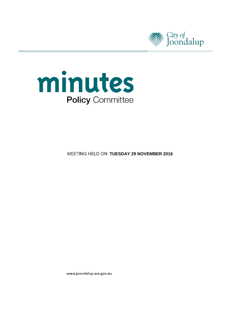



**MEETING HELD ON TUESDAY 29 NOVEMBER 2016** 

www.joondalup.wa.gov.au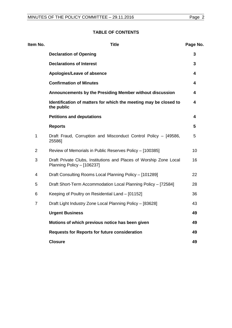# **TABLE OF CONTENTS**

| Item No.       | <b>Title</b>                                                                                     | Page No.        |
|----------------|--------------------------------------------------------------------------------------------------|-----------------|
|                | <b>Declaration of Opening</b>                                                                    | 3               |
|                | <b>Declarations of Interest</b>                                                                  | 3               |
|                | Apologies/Leave of absence                                                                       | 4               |
|                | <b>Confirmation of Minutes</b>                                                                   | 4               |
|                | Announcements by the Presiding Member without discussion                                         | 4               |
|                | Identification of matters for which the meeting may be closed to<br>the public                   | 4               |
|                | <b>Petitions and deputations</b>                                                                 | 4               |
|                | <b>Reports</b>                                                                                   | $5\phantom{.0}$ |
| 1              | Draft Fraud, Corruption and Misconduct Control Policy - [49586,<br>25586]                        | 5               |
| $\overline{2}$ | Review of Memorials in Public Reserves Policy - [100385]                                         | 10              |
| 3              | Draft Private Clubs, Institutions and Places of Worship Zone Local<br>Planning Policy - [106237] | 16              |
| 4              | Draft Consulting Rooms Local Planning Policy - [101289]                                          | 22              |
| 5              | Draft Short-Term Accommodation Local Planning Policy - [72584]                                   | 28              |
| 6              | Keeping of Poultry on Residential Land - [01152]                                                 | 36              |
| $\overline{7}$ | Draft Light Industry Zone Local Planning Policy - [83628]                                        | 43              |
|                | <b>Urgent Business</b>                                                                           | 49              |
|                | Motions of which previous notice has been given                                                  | 49              |
|                | <b>Requests for Reports for future consideration</b>                                             | 49              |
|                | <b>Closure</b>                                                                                   | 49              |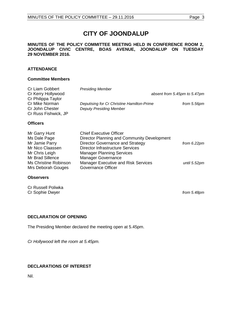# **CITY OF JOONDALUP**

#### **MINUTES OF THE POLICY COMMITTEE MEETING HELD IN CONFERENCE ROOM 2, JOONDALUP CIVIC CENTRE, BOAS AVENUE, JOONDALUP ON TUESDAY 29 NOVEMBER 2016.**

# **ATTENDANCE**

# **Committee Members**

| Cr Liam Gobbert      | <b>Presiding Member</b>                    |                              |
|----------------------|--------------------------------------------|------------------------------|
| Cr Kerry Hollywood   |                                            | absent from 5.45pm to 5.47pm |
| Cr Philippa Taylor   |                                            |                              |
| Cr Mike Norman       | Deputising for Cr Christine Hamilton-Prime | from 5.56pm                  |
| Cr John Chester      | <b>Deputy Presiding Member</b>             |                              |
| Cr Russ Fishwick, JP |                                            |                              |
|                      |                                            |                              |
| <b>Officers</b>      |                                            |                              |

| Mr Garry Hunt         | <b>Chief Executive Officer</b>              |                |
|-----------------------|---------------------------------------------|----------------|
| Ms Dale Page          | Director Planning and Community Development |                |
| Mr Jamie Parry        | Director Governance and Strategy            | from $6.22$ pm |
| Mr Nico Claassen      | <b>Director Infrastructure Services</b>     |                |
| Mr Chris Leigh        | <b>Manager Planning Services</b>            |                |
| Mr Brad Sillence      | <b>Manager Governance</b>                   |                |
| Ms Christine Robinson | <b>Manager Executive and Risk Services</b>  | until 5.52pm   |
| Mrs Deborah Gouges    | Governance Officer                          |                |

#### **Observers**

Cr Russell Poliwka Cr Sophie Dwyer *from 5.48pm*

# <span id="page-2-0"></span>**DECLARATION OF OPENING**

The Presiding Member declared the meeting open at 5.45pm.

*Cr Hollywood left the room at 5.45pm.*

# <span id="page-2-1"></span>**DECLARATIONS OF INTEREST**

<span id="page-2-2"></span>Nil.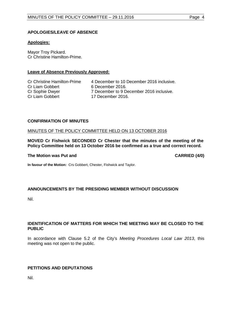# **APOLOGIES/LEAVE OF ABSENCE**

# **Apologies:**

Mayor Troy Pickard. Cr Christine Hamilton-Prime.

# **Leave of Absence Previously Approved:**

Cr Liam Gobbert 6 December 2016.<br>Cr Sophie Dwyer 7 December to 9 D

Cr Christine Hamilton-Prime 4 December to 10 December 2016 inclusive. Cr Sophie Dwyer 7 December to 9 December 2016 inclusive.<br>Cr Liam Gobbert 17 December 2016. 17 December 2016.

#### **CONFIRMATION OF MINUTES**

#### MINUTES OF THE POLICY COMMITTEE HELD ON 13 OCTOBER 2016

**MOVED Cr Fishwick SECONDED Cr Chester that the minutes of the meeting of the Policy Committee held on 13 October 2016 be confirmed as a true and correct record.**

#### **The Motion was Put and CARRIED (4/0)**

<span id="page-3-0"></span>

**In favour of the Motion:** Crs Gobbert, Chester, Fishwick and Taylor.

# <span id="page-3-1"></span>**ANNOUNCEMENTS BY THE PRESIDING MEMBER WITHOUT DISCUSSION**

Nil.

# <span id="page-3-2"></span>**IDENTIFICATION OF MATTERS FOR WHICH THE MEETING MAY BE CLOSED TO THE PUBLIC**

In accordance with Clause 5.2 of the City's *Meeting Procedures Local Law 2013*, this meeting was not open to the public.

# <span id="page-3-3"></span>**PETITIONS AND DEPUTATIONS**

Nil.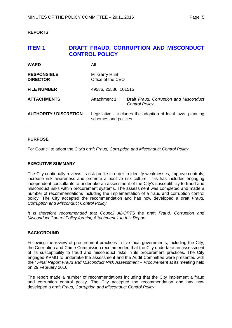# <span id="page-4-0"></span>**REPORTS**

# <span id="page-4-1"></span>**ITEM 1 DRAFT FRAUD, CORRUPTION AND MISCONDUCT CONTROL POLICY**

| <b>WARD</b>                           | All                                                                                    |  |
|---------------------------------------|----------------------------------------------------------------------------------------|--|
| <b>RESPONSIBLE</b><br><b>DIRECTOR</b> | Mr Garry Hunt<br>Office of the CEO                                                     |  |
| <b>FILE NUMBER</b>                    | 49586, 25586, 101515                                                                   |  |
| <b>ATTACHMENTS</b>                    | Attachment 1<br>Draft Fraud, Corruption and Misconduct<br><b>Control Policy</b>        |  |
| <b>AUTHORITY / DISCRETION</b>         | Legislative $-$ includes the adoption of local laws, planning<br>schemes and policies. |  |

# **PURPOSE**

For Council to adopt the City's draft *Fraud, Corruption and Misconduct Control Policy*.

# **EXECUTIVE SUMMARY**

The City continually reviews its risk profile in order to identify weaknesses, improve controls, increase risk awareness and promote a positive risk culture. This has included engaging independent consultants to undertake an assessment of the City's susceptibility to fraud and misconduct risks within procurement systems. The assessment was completed and made a number of recommendations including the implementation of a fraud and corruption control policy. The City accepted the recommendation and has now developed a draft *Fraud, Corruption and Misconduct Control Policy*.

*It is therefore recommended that Council ADOPTS* the draft *Fraud, Corruption and Misconduct Control Policy forming Attachment 1 to this Report.*

# **BACKGROUND**

Following the review of procurement practices in five local governments, including the City, the Corruption and Crime Commission recommended that the City undertake an assessment of its susceptibility to fraud and misconduct risks in its procurement practices. The City engaged KPMG to undertake the assessment and the Audit Committee were presented with their *Final Report Fraud and Misconduct Risk Assessment – Procurement* at its meeting held on 29 February 2016.

The report made a number of recommendations including that the City implement a fraud and corruption control policy. The City accepted the recommendation and has now developed a draft *Fraud, Corruption and Misconduct Control Policy*.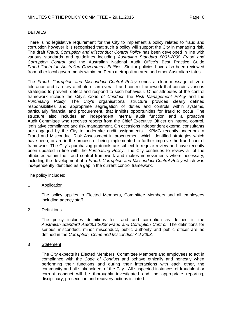# **DETAILS**

There is no legislative requirement for the City to implement a policy related to fraud and corruption however it is recognised that such a policy will support the City in managing risk. The draft *Fraud, Corruption and Misconduct Control Policy* has been developed in line with various standards and guidelines including *Australian Standard 8001-2008 Fraud and Corruption Control* and the Australian National Audit Office's Best Practice Guide *Fraud Control in Australian Government Entities.* Similar policies have also been reviewed from other local governments within the Perth metropolitan area and other Australian states.

The *Fraud, Corruption and Misconduct Control Policy* sends a clear message of zero tolerance and is a key attribute of an overall fraud control framework that contains various strategies to prevent, detect and respond to such behaviour. Other attributes of the control framework include the City's *Code of Conduct*, the *Risk Management Policy* and the *Purchasing Policy*. The City's organisational structure provides clearly defined responsibilities and appropriate segregation of duties and controls within systems, particularly financial and procurement, that inhibits opportunities for fraud to occur. The structure also includes an independent internal audit function and a proactive Audit Committee who receives reports from the Chief Executive Officer on internal control, legislative compliance and risk management. On occasions independent external consultants are engaged by the City to undertake audit assignments. KPMG recently undertook a Fraud and Misconduct Risk Assessment in procurement which identified strategies which have been, or are in the process of being implemented to further improve the fraud control framework. The City's purchasing protocols are subject to regular review and have recently been updated in line with the *Purchasing Policy*. The City continues to review all of the attributes within the fraud control framework and makes improvements where necessary, including the development of a *Fraud, Corruption and Misconduct Control Policy* which was independently identified as a gap in the current control framework.

The policy includes:

# 1 Application

The policy applies to Elected Members, Committee Members and all employees including agency staff.

# 2 Definitions

The policy includes definitions for fraud and corruption as defined in the *Australian Standard AS8001:2008 Fraud and Corruption Control*. The definitions for serious misconduct, minor misconduct, public authority and public officer are as defined in the *Corruption, Crime and Misconduct Act 2003*.

#### 3 Statement

The City expects its Elected Members, Committee Members and employees to act in compliance with the *Code of Conduct* and behave ethically and honestly when performing their functions and during their interactions with each other, the community and all stakeholders of the City. All suspected instances of fraudulent or corrupt conduct will be thoroughly investigated and the appropriate reporting, disciplinary, prosecution and recovery actions initiated.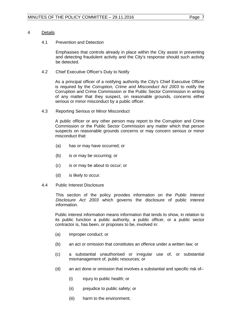#### 4 Details

#### 4.1 Prevention and Detection

Emphasises that controls already in place within the City assist in preventing and detecting fraudulent activity and the City's response should such activity be detected.

4.2 Chief Executive Officer's Duty to Notify

As a principal officer of a notifying authority the City's Chief Executive Officer is required by the *Corruption, Crime and Misconduct Act 2003* to notify the Corruption and Crime Commission or the Public Sector Commission in writing of any matter that they suspect, on reasonable grounds, concerns either serious or minor misconduct by a public officer.

4.3 Reporting Serious or Minor Misconduct

A public officer or any other person may report to the Corruption and Crime Commission or the Public Sector Commission any matter which that person suspects on reasonable grounds concerns or may concern serious or minor misconduct that:

- (a) has or may have occurred; or
- (b) is or may be occurring; or
- (c) is or may be about to occur; or
- (d) is likely to occur.
- 4.4 Public Interest Disclosure

This section of the policy provides information on the *Public Interest Disclosure Act 2003* which governs the disclosure of public interest information.

Public interest information means information that tends to show, in relation to its public function a public authority, a public officer, or a public sector contractor is, has been, or proposes to be, involved in:

- (a) improper conduct; or
- (b) an act or omission that constitutes an offence under a written law; or
- (c) a substantial unauthorised or irregular use of, or substantial mismanagement of, public resources; or
- (d) an act done or omission that involves a substantial and specific risk of–
	- (i) injury to public health; or
	- (ii) prejudice to public safety; or
	- (iii) harm to the environment;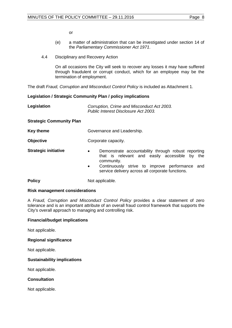or

- (e) a matter of administration that can be investigated under section 14 of the *Parliamentary Commissioner Act 1971*.
- 4.4 Disciplinary and Recovery Action

On all occasions the City will seek to recover any losses it may have suffered through fraudulent or corrupt conduct, which for an employee may be the termination of employment.

The draft *Fraud, Corruption and Misconduct Control Policy* is included as Attachment 1.

# **Legislation / Strategic Community Plan / policy implications**

| Legislation                     | Corruption, Crime and Misconduct Act 2003.<br>Public Interest Disclosure Act 2003.                                                                                                                                                                 |  |  |
|---------------------------------|----------------------------------------------------------------------------------------------------------------------------------------------------------------------------------------------------------------------------------------------------|--|--|
| <b>Strategic Community Plan</b> |                                                                                                                                                                                                                                                    |  |  |
| Key theme                       | Governance and Leadership.                                                                                                                                                                                                                         |  |  |
| <b>Objective</b>                | Corporate capacity.                                                                                                                                                                                                                                |  |  |
| <b>Strategic initiative</b>     | Demonstrate accountability through robust reporting<br>$\bullet$<br>that is relevant and easily accessible by the<br>community.<br>Continuously strive to improve performance and<br>$\bullet$<br>service delivery across all corporate functions. |  |  |
| <b>Policy</b>                   | Not applicable.                                                                                                                                                                                                                                    |  |  |

# **Risk management considerations**

A *Fraud, Corruption and Misconduct Control Policy* provides a clear statement of zero tolerance and is an important attribute of an overall fraud control framework that supports the City's overall approach to managing and controlling risk.

# **Financial/budget implications**

Not applicable.

# **Regional significance**

Not applicable.

#### **Sustainability implications**

Not applicable.

# **Consultation**

Not applicable.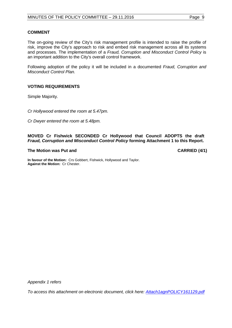#### **COMMENT**

The on-going review of the City's risk management profile is intended to raise the profile of risk, improve the City's approach to risk and embed risk management across all its systems and processes. The implementation of a *Fraud, Corruption and Misconduct Control Policy* is an important addition to the City's overall control framework.

Following adoption of the policy it will be included in a documented *Fraud, Corruption and Misconduct Control Plan.* 

# **VOTING REQUIREMENTS**

Simple Majority.

*Cr Hollywood entered the room at 5.47pm.*

*Cr Dwyer entered the room at 5.48pm.*

**MOVED Cr Fishwick SECONDED Cr Hollywood that Council ADOPTS the draft**  *Fraud, Corruption and Misconduct Control Policy* **forming Attachment 1 to this Report.** 

#### **The Motion was Put and CARRIED (4/1)**

**In favour of the Motion:** Crs Gobbert, Fishwick, Hollywood and Taylor. **Against the Motion:** Cr Chester.

*Appendix 1 refers*

*[To access this attachment on electronic document, click here: Attach1agnPOLICY161129.pdf](http://www.joondalup.wa.gov.au/files/committees/POLI/2016/Attach1agnPOLICY161129.pdf)*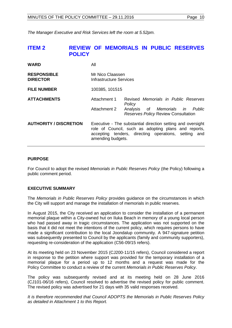<span id="page-9-0"></span>*The Manager Executive and Risk Services left the room at 5.52pm.*

# **ITEM 2 REVIEW OF MEMORIALS IN PUBLIC RESERVES POLICY**

| <b>WARD</b>                           | All                                                                                                                                                                                              |                                                                                                                                 |  |
|---------------------------------------|--------------------------------------------------------------------------------------------------------------------------------------------------------------------------------------------------|---------------------------------------------------------------------------------------------------------------------------------|--|
| <b>RESPONSIBLE</b><br><b>DIRECTOR</b> | Mr Nico Claassen<br>Infrastructure Services                                                                                                                                                      |                                                                                                                                 |  |
| <b>FILE NUMBER</b>                    | 100385, 101515                                                                                                                                                                                   |                                                                                                                                 |  |
| <b>ATTACHMENTS</b>                    | Attachment 1<br>Attachment 2                                                                                                                                                                     | Revised Memorials in Public Reserves<br>Policy<br>Analysis of Memorials in Public<br><b>Reserves Policy Review Consultation</b> |  |
| <b>AUTHORITY / DISCRETION</b>         | Executive - The substantial direction setting and oversight<br>role of Council, such as adopting plans and reports,<br>accepting tenders, directing operations, setting and<br>amending budgets. |                                                                                                                                 |  |

#### **PURPOSE**

For Council to adopt the revised *Memorials in Public Reserves Policy* (the Policy) following a public comment period.

# **EXECUTIVE SUMMARY**

The *Memorials in Public Reserves Policy* provides guidance on the circumstances in which the City will support and manage the installation of memorials in public reserves.

In August 2015, the City received an application to consider the installation of a permanent memorial plaque within a City-owned hut on Iluka Beach in memory of a young local person who had passed away in tragic circumstances. The application was not supported on the basis that it did not meet the intentions of the current policy, which requires persons to have made a significant contribution to the local Joondalup community. A 947-signature petition was subsequently presented to Council by the applicants (family and community supporters), requesting re-consideration of the application (C56-09/15 refers).

At its meeting held on 23 November 2015 (CJ200-11/15 refers), Council considered a report in response to the petition where support was provided for the temporary installation of a memorial plaque for a period up to 12 months and a request was made for the Policy Committee to conduct a review of the current *Memorials in Public Reserves Policy*.

The policy was subsequently revised and at its meeting held on 28 June 2016 (CJ101-06/16 refers), Council resolved to advertise the revised policy for public comment. The revised policy was advertised for 21 days with 35 valid responses received.

*It is therefore recommended that Council ADOPTS the Memorials in Public Reserves Policy as detailed in Attachment 1 to this Report.*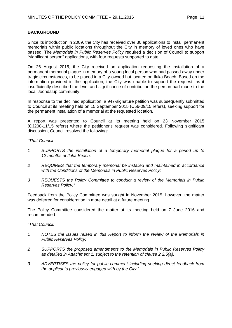# **BACKGROUND**

Since its introduction in 2009, the City has received over 30 applications to install permanent memorials within public locations throughout the City in memory of loved ones who have passed. The *Memorials in Public Reserves Policy* required a decision of Council to support "significant person" applications, with four requests supported to date.

On 26 August 2015, the City received an application requesting the installation of a permanent memorial plaque in memory of a young local person who had passed away under tragic circumstances, to be placed in a City-owned hut located on Iluka Beach. Based on the information provided in the application, the City was unable to support the request, as it insufficiently described the level and significance of contribution the person had made to the local Joondalup community.

In response to the declined application, a 947-signature petition was subsequently submitted to Council at its meeting held on 15 September 2015 (C56-09/15 refers), seeking support for the permanent installation of a memorial at the requested location.

A report was presented to Council at its meeting held on 23 November 2015 (CJ200-11/15 refers) where the petitioner's request was considered. Following significant discussion, Council resolved the following:

*"That Council:*

- *1 SUPPORTS the installation of a temporary memorial plaque for a period up to 12 months at Iluka Beach;*
- *2 REQUIRES that the temporary memorial be installed and maintained in accordance with the Conditions of the Memorials in Public Reserves Policy;*
- *3 REQUESTS the Policy Committee to conduct a review of the Memorials in Public Reserves Policy."*

Feedback from the Policy Committee was sought in November 2015, however, the matter was deferred for consideration in more detail at a future meeting.

The Policy Committee considered the matter at its meeting held on 7 June 2016 and recommended:

*"That Council:*

- *1 NOTES the issues raised in this Report to inform the review of the Memorials in Public Reserves Policy;*
- *2 SUPPORTS the proposed amendments to the Memorials in Public Reserves Policy as detailed in Attachment 1, subject to the retention of clause 2.2.5(a);*
- *3 ADVERTISES the policy for public comment including seeking direct feedback from the applicants previously engaged with by the City."*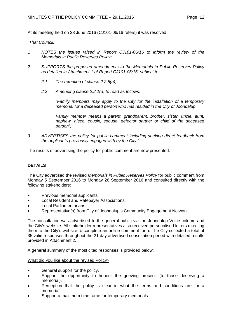At its meeting held on 28 June 2016 (CJ101-06/16 refers) it was resolved:

*"That Council:* 

- *1 NOTES the issues raised in Report CJ101-06/16 to inform the review of the Memorials in Public Reserves Policy;*
- *2 SUPPORTS the proposed amendments to the Memorials in Public Reserves Policy as detailed in Attachment 1 of Report CJ101-06/16, subject to:*
	- *2.1 The retention of clause 2.2.5(a);*
	- *2.2 Amending clause 2.2.1(a) to read as follows:*

*"Family members may apply to the City for the installation of a temporary memorial for a deceased person who has resided in the City of Joondalup.*

*Family member means a parent, grandparent, brother, sister, uncle, aunt, nephew, niece, cousin, spouse, defector partner or child of the deceased person";*

*3 ADVERTISES the policy for public comment including seeking direct feedback from the applicants previously engaged with by the City."*

The results of advertising the policy for public comment are now presented.

# **DETAILS**

The City advertised the revised *Memorials in Public Reserves Policy* for public comment from Monday 5 September 2016 to Monday 26 September 2016 and consulted directly with the following stakeholders:

- Previous memorial applicants.
- Local Resident and Ratepayer Associations.
- Local Parliamentarians.
- Representative(s) from City of Joondalup's Community Engagement Network.

The consultation was advertised to the general public via the Joondalup Voice column and the City's website. All stakeholder representatives also received personalised letters directing them to the City's website to complete an online comment form. The City collected a total of 35 valid responses throughout the 21 day advertised consultation period with detailed results provided in Attachment 2.

A general summary of the most cited responses is provided below:

# What did you like about the revised Policy?

- General support for the policy.
- Support the opportunity to honour the grieving process (to those deserving a memorial).
- Perception that the policy is clear in what the terms and conditions are for a memorial.
- Support a maximum timeframe for temporary memorials.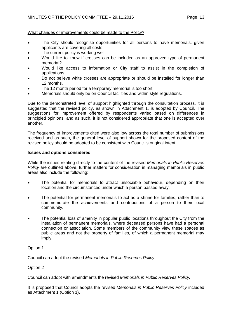# MINUTES OF THE POLICY COMMITTEE - 29.11.2016 Page 13

# What changes or improvements could be made to the Policy?

- The City should recognise opportunities for all persons to have memorials, given applicants are covering all costs.
- The current policy is working well.
- Would like to know if crosses can be included as an approved type of permanent memorial?
- Would like access to information or City staff to assist in the completion of applications.
- Do not believe white crosses are appropriate or should be installed for longer than 12 months.
- The 12 month period for a temporary memorial is too short.
- Memorials should only be on Council facilities and within style regulations.

Due to the demonstrated level of support highlighted through the consultation process, it is suggested that the revised policy, as shown in Attachment 1, is adopted by Council. The suggestions for improvement offered by respondents varied based on differences in principled opinions, and as such, it is not considered appropriate that one is accepted over another.

The frequency of improvements cited were also low across the total number of submissions received and as such, the general level of support shown for the proposed content of the revised policy should be adopted to be consistent with Council's original intent.

#### **Issues and options considered**

While the issues relating directly to the content of the revised *Memorials in Public Reserves Policy* are outlined above, further matters for consideration in managing memorials in public areas also include the following:

- The potential for memorials to attract unsociable behaviour, depending on their location and the circumstances under which a person passed away.
- The potential for permanent memorials to act as a shrine for families, rather than to commemorate the achievements and contributions of a person to their local community.
- The potential loss of amenity in popular public locations throughout the City from the installation of permanent memorials, where deceased persons have had a personal connection or association. Some members of the community view these spaces as public areas and not the property of families, of which a permanent memorial may imply.

# Option 1

Council can adopt the revised *Memorials in Public Reserves Policy*.

# Option 2

Council can adopt with amendments the revised *Memorials in Public Reserves Policy.*

It is proposed that Council adopts the revised *Memorials in Public Reserves Policy* included as Attachment 1 (Option 1).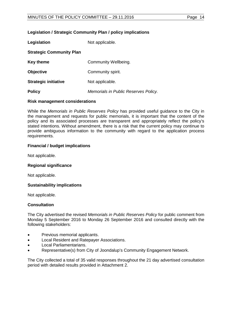#### **Legislation / Strategic Community Plan / policy implications**

| Legislation                     | Not applicable.                      |  |  |
|---------------------------------|--------------------------------------|--|--|
| <b>Strategic Community Plan</b> |                                      |  |  |
| <b>Key theme</b>                | Community Wellbeing.                 |  |  |
| <b>Objective</b>                | Community spirit.                    |  |  |
| <b>Strategic initiative</b>     | Not applicable.                      |  |  |
| <b>Policy</b>                   | Memorials in Public Reserves Policy. |  |  |

#### **Risk management considerations**

While the *Memorials in Public Reserves Policy* has provided useful guidance to the City in the management and requests for public memorials, it is important that the content of the policy and its associated processes are transparent and appropriately reflect the policy's stated intentions. Without amendment, there is a risk that the current policy may continue to provide ambiguous information to the community with regard to the application process requirements.

#### **Financial / budget implications**

Not applicable.

#### **Regional significance**

Not applicable.

#### **Sustainability implications**

Not applicable.

#### **Consultation**

The City advertised the revised *Memorials in Public Reserves Policy* for public comment from Monday 5 September 2016 to Monday 26 September 2016 and consulted directly with the following stakeholders:

- Previous memorial applicants.
- Local Resident and Ratepayer Associations.
- Local Parliamentarians.
- Representative(s) from City of Joondalup's Community Engagement Network.

The City collected a total of 35 valid responses throughout the 21 day advertised consultation period with detailed results provided in Attachment 2.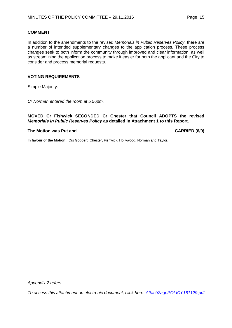#### **COMMENT**

In addition to the amendments to the revised *Memorials in Public Reserves Policy*, there are a number of intended supplementary changes to the application process. These process changes seek to both inform the community through improved and clear information, as well as streamlining the application process to make it easier for both the applicant and the City to consider and process memorial requests.

#### **VOTING REQUIREMENTS**

Simple Majority.

*Cr Norman entered the room at 5.56pm.* 

**MOVED Cr Fishwick SECONDED Cr Chester that Council ADOPTS the revised**  *Memorials in Public Reserves Policy* **as detailed in Attachment 1 to this Report.**

# **The Motion was Put and CARRIED (6/0)**

**In favour of the Motion:** Crs Gobbert, Chester, Fishwick, Hollywood, Norman and Taylor.

*Appendix 2 refers*

*[To access this attachment on electronic document, click here: Attach2agnPOLICY161129.pdf](http://www.joondalup.wa.gov.au/files/committees/POLI/2016/Attach2agnPOLICY161129.pdf)*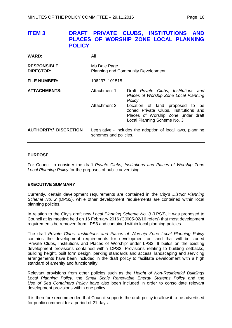# <span id="page-15-0"></span>**ITEM 3 DRAFT PRIVATE CLUBS, INSTITUTIONS AND PLACES OF WORSHIP ZONE LOCAL PLANNING POLICY**

| <b>WARD:</b>                           | All                                                                                  |                                                                                                                                               |  |
|----------------------------------------|--------------------------------------------------------------------------------------|-----------------------------------------------------------------------------------------------------------------------------------------------|--|
| <b>RESPONSIBLE</b><br><b>DIRECTOR:</b> | Ms Dale Page<br><b>Planning and Community Development</b>                            |                                                                                                                                               |  |
| <b>FILE NUMBER:</b>                    | 106237, 101515                                                                       |                                                                                                                                               |  |
| <b>ATTACHMENTS:</b>                    | Attachment 1                                                                         | Draft Private Clubs, Institutions and<br>Places of Worship Zone Local Planning<br>Policy                                                      |  |
|                                        | Attachment 2                                                                         | Location of land proposed to be<br>zoned Private Clubs, Institutions and<br>Places of Worship Zone under draft<br>Local Planning Scheme No. 3 |  |
| <b>AUTHORITY/ DISCRETION</b>           | Legislative - includes the adoption of local laws, planning<br>schemes and policies. |                                                                                                                                               |  |

# **PURPOSE**

For Council to consider the draft *Private Clubs, Institutions and Places of Worship Zone Local Planning Policy* for the purposes of public advertising.

# **EXECUTIVE SUMMARY**

Currently, certain development requirements are contained in the City's *District Planning Scheme No. 2* (DPS2), while other development requirements are contained within local planning policies.

In relation to the City's draft new *Local Planning Scheme No. 3* (LPS3), it was proposed to Council at its meeting held on 16 February 2016 (CJ005-02/16 refers) that most development requirements be removed from LPS3 and contained within local planning policies.

The draft *Private Clubs, Institutions and Places of Worship Zone Local Planning Policy* contains the development requirements for development on land that will be zoned 'Private Clubs, Institutions and Places of Worship' under LPS3. It builds on the existing development provisions contained within DPS2. Provisions relating to building setbacks, building height, built form design, parking standards and access, landscaping and servicing arrangements have been included in the draft policy to facilitate development with a high standard of amenity and functionality.

Relevant provisions from other policies such as the *Height of Non-Residential Buildings Local Planning Policy*, the *Small Scale Renewable Energy Systems Policy* and the *Use of Sea Containers Policy* have also been included in order to consolidate relevant development provisions within one policy.

It is therefore recommended that Council supports the draft policy to allow it to be advertised for public comment for a period of 21 days.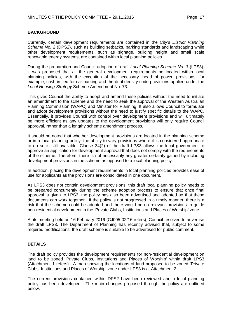# **BACKGROUND**

Currently, certain development requirements are contained in the City's *District Planning Scheme No. 2* (DPS2), such as building setbacks, parking standards and landscaping while other development requirements, such as signage, building height and small scale renewable energy systems, are contained within local planning policies.

During the preparation and Council adoption of draft *Local Planning Scheme No. 3* (LPS3), it was proposed that all the general development requirements be located within local planning policies, with the exception of the necessary 'head of power' provisions, for example, cash-in-lieu for car parking and the dual density code provisions applied under the *Local Housing Strategy* Scheme Amendment No. 73.

This gives Council the ability to adopt and amend these policies without the need to initiate an amendment to the scheme and the need to seek the approval of the Western Australian Planning Commission (WAPC) and Minister for Planning. It also allows Council to formulate and adopt development provisions without the need to justify specific details to the WAPC. Essentially, it provides Council with control over development provisions and will ultimately be more efficient as any updates to the development provisions will only require Council approval, rather than a lengthy scheme amendment process.

It should be noted that whether development provisions are located in the planning scheme or in a local planning policy, the ability to vary provisions where it is considered appropriate to do so is still available. Clause 34(2) of the draft LPS3 allows the local government to approve an application for development approval that does not comply with the requirements of the scheme. Therefore, there is not necessarily any greater certainty gained by including development provisions in the scheme as opposed to a local planning policy.

In addition, placing the development requirements in local planning policies provides ease of use for applicants as the provisions are consolidated in one document.

As LPS3 does not contain development provisions, this draft local planning policy needs to be prepared concurrently during the scheme adoption process to ensure that once final approval is given to LPS3, the policy has also been advertised and adopted so that these documents can work together. If the policy is not progressed in a timely manner, there is a risk that the scheme could be adopted and there would be no relevant provisions to guide non-residential development in the 'Private Clubs, Institutions and Places of Worship' zone.

At its meeting held on 16 February 2016 (CJ005-02/16 refers), Council resolved to advertise the draft LPS3. The Department of Planning has recently advised that, subject to some required modifications, the draft scheme is suitable to be advertised for public comment.

# **DETAILS**

The draft policy provides the development requirements for non-residential development on land to be zoned 'Private Clubs, Institutions and Places of Worship' within draft LPS3 (Attachment 1 refers). A map showing the locations of land proposed to be zoned 'Private Clubs, Institutions and Places of Worship' zone under LPS3 is at Attachment 2.

The current provisions contained within DPS2 have been reviewed and a local planning policy has been developed. The main changes proposed through the policy are outlined below.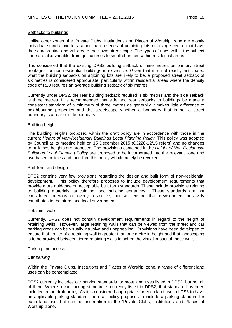#### Setbacks to buildings

Unlike other zones, the 'Private Clubs, Institutions and Places of Worship' zone are mostly individual stand-alone lots rather than a series of adjoining lots or a large centre that have the same zoning and will create their own streetscape. The types of uses within the subject zone are also variable, from golf courses to small churches within residential areas.

It is considered that the existing DPS2 building setback of nine metres on primary street frontages for non-residential buildings is excessive. Given that it is not readily anticipated what the building setbacks on adjoining lots are likely to be, a proposed street setback of six metres is considered appropriate, particularly within residential areas where the density code of R20 requires an average building setback of six metres.

Currently under DPS2, the rear building setback required is six metres and the side setback is three metres. It is recommended that side and rear setbacks to buildings be made a consistent standard of a minimum of three metres as generally it makes little difference to neighbouring properties and the streetscape whether a boundary that is not a street boundary is a rear or side boundary.

#### Building height

The building heights proposed within the draft policy are in accordance with those in the current *Height of Non-Residential Buildings Local Planning Policy*. This policy was adopted by Council at its meeting held on 15 December 2015 (CJ228-12/15 refers) and no changes to buildings heights are proposed. The provisions contained in the *Height of Non-Residential Buildings Local Planning Policy* are proposed to be incorporated into the relevant zone and use based policies and therefore this policy will ultimately be revoked.

#### Built form and design

DPS2 contains very few provisions regarding the design and built form of non-residential development. This policy therefore proposes to include development requirements that provide more guidance on acceptable built form standards. These include provisions relating<br>to building materials, articulation, and building entrances. These standards are not to building materials, articulation, and building entrances. considered onerous or overly restrictive, but will ensure that development positively contributes to the street and local environment.

#### Retaining walls

Currently, DPS2 does not contain development requirements in regard to the height of retaining walls. However, large retaining walls that can be viewed from the street and car parking areas can be visually intrusive and unappealing. Provisions have been developed to ensure that no tier of a retaining wall is greater than one metre in height and that landscaping is to be provided between tiered retaining walls to soften the visual impact of those walls.

#### Parking and access

# *Car parking*

Within the 'Private Clubs, Institutions and Places of Worship' zone, a range of different land uses can be contemplated.

DPS2 currently includes car parking standards for most land uses listed in DPS2, but not all of them. Where a car parking standard is currently listed in DPS2, that standard has been included in the draft policy. As it is considered appropriate for each land use in LPS3 to have an applicable parking standard, the draft policy proposes to include a parking standard for each land use that can be undertaken in the 'Private Clubs, Institutions and Places of Worship' zone.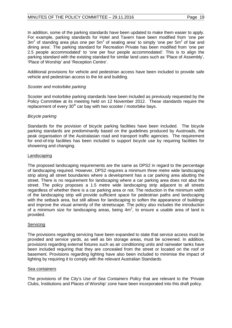# MINUTES OF THE POLICY COMMITTEE - 29.11.2016 Page 19

dining area'. The parking standard for Recreation Private has been modified from 'one per 2.5 people accommodated' to 'one per four people accommodated'. This is to align the parking standard with the existing standard for similar land uses such as 'Place of Assembly', 'Place of Worship' and 'Reception Centre'.

Additional provisions for vehicle and pedestrian access have been included to provide safe vehicle and pedestrian access to the lot and building.

# *Scooter and motorbike parking*

Scooter and motorbike parking standards have been included as previously requested by the Policy Committee at its meeting held on 12 November 2012. These standards require the replacement of every  $30<sup>th</sup>$  car bay with two scooter / motorbike bays.

# *Bicycle parking*

Standards for the provision of bicycle parking facilities have been included. The bicycle parking standards are predominantly based on the guidelines produced by Austroads, the peak organisation of the Australasian road and transport traffic agencies. The requirement for end-of-trip facilities has been included to support bicycle use by requiring facilities for showering and changing.

# Landscaping

The proposed landscaping requirements are the same as DPS2 in regard to the percentage of landscaping required. However, DPS2 requires a minimum three metre wide landscaping strip along all street boundaries where a development has a car parking area abutting the street. There is no requirement for landscaping where a car parking area does not abut the street. The policy proposes a 1.5 metre wide landscaping strip adjacent to all streets regardless of whether there is a car parking area or not. The reduction in the minimum width of the landscaping strip will provide sufficient space for pedestrian paths and landscaping with the setback area, but still allows for landscaping to soften the appearance of buildings and improve the visual amenity of the streetscape. The policy also includes the introduction of a minimum size for landscaping areas, being  $4m^2$ , to ensure a usable area of land is provided.

# Servicing

The provisions regarding servicing have been expanded to state that service access must be provided and service yards, as well as bin storage areas, must be screened. In addition, provisions regarding external fixtures such as air conditioning units and rainwater tanks have been included requiring that they are concealed from the street or located on the roof or basement. Provisions regarding lighting have also been included to minimise the impact of lighting by requiring it to comply with the relevant Australian Standards.

# Sea containers

The provisions of the City's *Use of Sea Containers Policy* that are relevant to the 'Private Clubs, Institutions and Places of Worship' zone have been incorporated into this draft policy.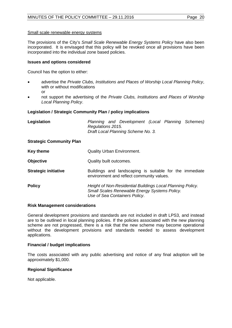#### Small scale renewable energy systems

The provisions of the City's *Small Scale Renewable Energy Systems Policy* have also been incorporated. It is envisaged that this policy will be revoked once all provisions have been incorporated into the individual zone based policies.

#### **Issues and options considered**

Council has the option to either:

- advertise the *Private Clubs, Institutions and Places of Worship Local Planning Policy*, with or without modifications or
- not support the advertising of the *Private Clubs, Institutions and Places of Worship Local Planning Policy*.

#### **Legislation / Strategic Community Plan / policy implications**

| Legislation                        |                   |  | Planning and Development (Local Planning Schemes) |  |  |
|------------------------------------|-------------------|--|---------------------------------------------------|--|--|
|                                    | Regulations 2015. |  |                                                   |  |  |
| Draft Local Planning Scheme No. 3. |                   |  |                                                   |  |  |

#### **Strategic Community Plan**

| <b>Key theme</b>            | <b>Quality Urban Environment.</b>                                                                                                            |  |  |
|-----------------------------|----------------------------------------------------------------------------------------------------------------------------------------------|--|--|
| <b>Objective</b>            | Quality built outcomes.                                                                                                                      |  |  |
| <b>Strategic initiative</b> | Buildings and landscaping is suitable for the immediate<br>environment and reflect community values.                                         |  |  |
| <b>Policy</b>               | Height of Non-Residential Buildings Local Planning Policy.<br>Small Scales Renewable Energy Systems Policy.<br>Use of Sea Containers Policy. |  |  |

#### **Risk Management considerations**

General development provisions and standards are not included in draft LPS3, and instead are to be outlined in local planning policies. If the policies associated with the new planning scheme are not progressed, there is a risk that the new scheme may become operational without the development provisions and standards needed to assess development applications.

# **Financial / budget implications**

The costs associated with any public advertising and notice of any final adoption will be approximately \$1,000.

# **Regional Significance**

Not applicable.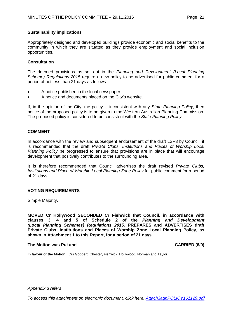# **Sustainability implications**

Appropriately designed and developed buildings provide economic and social benefits to the community in which they are situated as they provide employment and social inclusion opportunities.

# **Consultation**

The deemed provisions as set out in the *Planning and Development (Local Planning Scheme) Regulations 2015* require a new policy to be advertised for public comment for a period of not less than 21 days as follows:

- A notice published in the local newspaper.
- A notice and documents placed on the City's website.

If, in the opinion of the City, the policy is inconsistent with any *State Planning Policy*, then notice of the proposed policy is to be given to the Western Australian Planning Commission. The proposed policy is considered to be consistent with the *State Planning Policy*.

#### **COMMENT**

In accordance with the review and subsequent endorsement of the draft LSP3 by Council, it is recommended that the draft *Private Clubs, Institutions and Places of Worship Local Planning Policy* be progressed to ensure that provisions are in place that will encourage development that positively contributes to the surrounding area.

It is therefore recommended that Council advertises the draft revised *Private Clubs, Institutions and Place of Worship Local Planning Zone Policy* for public comment for a period of 21 days.

# **VOTING REQUIREMENTS**

Simple Majority.

**MOVED Cr Hollywood SECONDED Cr Fishwick that Council, in accordance with clauses 3, 4 and 5 of Schedule 2 of the** *Planning and Development (Local Planning Schemes) Regulations 2015,* **PREPARES and ADVERTISES draft Private Clubs, Institutions and Places of Worship Zone Local Planning Policy, as shown in Attachment 1 to this Report, for a period of 21 days.**

#### **The Motion was Put and CARRIED (6/0)**

**In favour of the Motion:** Crs Gobbert, Chester, Fishwick, Hollywood, Norman and Taylor.

*Appendix 3 refers*

*[To access this attachment on electronic document, click here: Attach3agnPOLICY161129.pdf](http://www.joondalup.wa.gov.au/files/committees/POLI/2016/Attach3agnPOLICY161129.pdf)*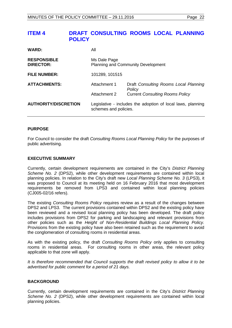<span id="page-21-0"></span>

| <b>WARD:</b>                    | Αll                                                                                  |                                                 |
|---------------------------------|--------------------------------------------------------------------------------------|-------------------------------------------------|
| <b>RESPONSIBLE</b><br>DIRECTOR: | Ms Dale Page<br><b>Planning and Community Development</b>                            |                                                 |
| <b>FILE NUMBER:</b>             | 101289, 101515                                                                       |                                                 |
| <b>ATTACHMENTS:</b>             | Attachment 1                                                                         | Draft Consulting Rooms Local Planning<br>Policy |
|                                 | Attachment 2                                                                         | <b>Current Consulting Rooms Policy</b>          |
| <b>AUTHORITY/DISCRETION</b>     | Legislative - includes the adoption of local laws, planning<br>schemes and policies. |                                                 |

# **PURPOSE**

For Council to consider the draft *Consulting Rooms Local Planning Policy* for the purposes of public advertising.

# **EXECUTIVE SUMMARY**

Currently, certain development requirements are contained in the City's *District Planning Scheme No. 2* (DPS2), while other development requirements are contained within local planning policies. In relation to the City's draft new *Local Planning Scheme No. 3* (LPS3), it was proposed to Council at its meeting held on 16 February 2016 that most development requirements be removed from LPS3 and contained within local planning policies (CJ005-02/16 refers).

The existing *Consulting Rooms Policy* requires review as a result of the changes between DPS2 and LPS3. The current provisions contained within DPS2 and the existing policy have been reviewed and a revised local planning policy has been developed. The draft policy includes provisions from DPS2 for parking and landscaping and relevant provisions from other policies such as the *Height of Non-Residential Buildings Local Planning Policy.*  Provisions from the existing policy have also been retained such as the requirement to avoid the conglomeration of consulting rooms in residential areas.

As with the existing policy, the draft *Consulting Rooms Policy* only applies to consulting rooms in residential areas. For consulting rooms in other areas, the relevant policy applicable to that zone will apply.

*It is therefore recommended that Council supports the draft revised policy to allow it to be advertised for public comment for a period of 21 days.* 

# **BACKGROUND**

Currently, certain development requirements are contained in the City's *District Planning Scheme No. 2* (DPS2), while other development requirements are contained within local planning policies.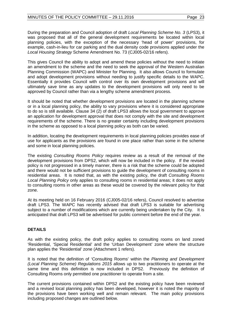During the preparation and Council adoption of draft *Local Planning Scheme No. 3* (LPS3), it was proposed that all of the general development requirements be located within local planning policies, with the exception of the necessary 'head of power' provisions, for example, cash-in-lieu for car parking and the dual density code provisions applied under the *Local Housing Strategy* Scheme Amendment No. 73 (CJ005-02/16 refers).

This gives Council the ability to adopt and amend these policies without the need to initiate an amendment to the scheme and the need to seek the approval of the Western Australian Planning Commission (WAPC) and Minister for Planning. It also allows Council to formulate and adopt development provisions without needing to justify specific details to the WAPC. Essentially it provides Council with control over its own development provisions and will ultimately save time as any updates to the development provisions will only need to be approved by Council rather than via a lengthy scheme amendment process.

It should be noted that whether development provisions are located in the planning scheme or in a local planning policy, the ability to vary provisions where it is considered appropriate to do so is still available. Clause 34 (2) of draft LPS3 allows the local government to approve an application for development approval that does not comply with the site and development requirements of the scheme. There is no greater certainty including development provisions in the scheme as opposed to a local planning policy as both can be varied.

In addition, locating the development requirements in local planning policies provides ease of use for applicants as the provisions are found in one place rather than some in the scheme and some in local planning policies.

The existing *Consulting Rooms Policy* requires review as a result of the removal of the development provisions from DPS2, which will now be included in the policy. If the revised policy is not progressed in a timely manner, there is a risk that the scheme could be adopted and there would not be sufficient provisions to guide the development of consulting rooms in residential areas. It is noted that, as with the existing policy, the draft *Consulting Rooms Local Planning Policy* only applies to consulting rooms in residential areas; it does not apply to consulting rooms in other areas as these would be covered by the relevant policy for that zone.

At its meeting held on 16 February 2016 (CJ005-02/16 refers), Council resolved to advertise draft LPS3. The WAPC has recently advised that draft LPS3 is suitable for advertising subject to a number of modifications which are currently being undertaken by the City. It is anticipated that draft LPS3 will be advertised for public comment before the end of the year.

# **DETAILS**

As with the existing policy, the draft policy applies to consulting rooms on land zoned 'Residential, 'Special Residential' and the 'Urban Development' zone where the structure plan applies the 'Residential' zone (Attachment 1 refers).

It is noted that the definition of 'Consulting Rooms' within the *Planning and Development (Local Planning Scheme) Regulations 2015* allows up to two practitioners to operate at the same time and this definition is now included in DPS2. Previously the definition of Consulting Rooms only permitted one practitioner to operate from a site.

The current provisions contained within DPS2 and the existing policy have been reviewed and a revised local planning policy has been developed, however it is noted the majority of the provisions have been working well and remain relevant. The main policy provisions including proposed changes are outlined below.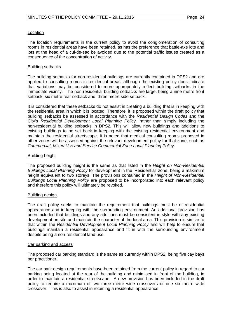#### Location

The location requirements in the current policy to avoid the conglomeration of consulting rooms in residential areas have been retained, as has the preference that battle-axe lots and lots at the head of a cul-de-sac be avoided due to the potential traffic issues created as a consequence of the concentration of activity.

#### Building setbacks

The building setbacks for non-residential buildings are currently contained in DPS2 and are applied to consulting rooms in residential areas, although the existing policy does indicate that variations may be considered to more appropriately reflect building setbacks in the immediate vicinity. The non-residential building setbacks are large, being a nine metre front setback, six metre rear setback and three metre side setback.

It is considered that these setbacks do not assist in creating a building that is in keeping with the residential area in which it is located. Therefore, it is proposed within the draft policy that building setbacks be assessed in accordance with the *Residential Design Codes* and the City's *Residential Development Local Planning Policy,* rather than simply including the non-residential building setbacks in DPS2. This will allow new buildings and additions to existing buildings to be set back in keeping with the existing residential environment and maintain the residential streetscape. It is noted that medical consulting rooms proposed in other zones will be assessed against the relevant development policy for that zone, such as *Commercial, Mixed Use and Service Commercial Zone Local Planning Policy*.

#### Building height

The proposed building height is the same as that listed in the *Height on Non-Residential Buildings Local Planning Policy* for development in the 'Residential' zone, being a maximum height equivalent to two storeys. The provisions contained in the *Height of Non-Residential Buildings Local Planning Policy* are proposed to be incorporated into each relevant policy and therefore this policy will ultimately be revoked.

# Building design

The draft policy seeks to maintain the requirement that buildings must be of residential appearance and in keeping with the surrounding environment. An additional provision has been included that buildings and any additions must be consistent in style with any existing development on site and maintain the character of the local area. This provision is similar to that within the *Residential Development Local Planning Policy* and will help to ensure that buildings maintain a residential appearance and fit in with the surrounding environment despite being a non-residential land use.

#### Car parking and access

The proposed car parking standard is the same as currently within DPS2, being five cay bays per practitioner.

The car park design requirements have been retained from the current policy in regard to car parking being located at the rear of the building and minimised in front of the building, in order to maintain a residential streetscape. A new provision has been included in the draft policy to require a maximum of two three metre wide crossovers or one six metre wide crossover. This is also to assist in retaining a residential appearance.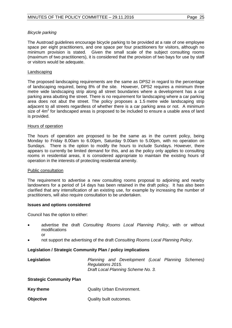# *Bicycle parking*

The Austroad guidelines encourage bicycle parking to be provided at a rate of one employee space per eight practitioners, and one space per four practitioners for visitors, although no minimum provision is stated. Given the small scale of the subject consulting rooms (maximum of two practitioners), it is considered that the provision of two bays for use by staff or visitors would be adequate.

#### Landscaping

The proposed landscaping requirements are the same as DPS2 in regard to the percentage of landscaping required, being 8% of the site. However, DPS2 requires a minimum three metre wide landscaping strip along all street boundaries where a development has a car parking area abutting the street. There is no requirement for landscaping where a car parking area does not abut the street. The policy proposes a 1.5 metre wide landscaping strip adjacent to all streets regardless of whether there is a car parking area or not. A minimum size of  $4m<sup>2</sup>$  for landscaped areas is proposed to be included to ensure a usable area of land is provided.

#### Hours of operation

The hours of operation are proposed to be the same as in the current policy, being Monday to Friday 8.00am to 6.00pm, Saturday 9.00am to 5.00pm, with no operation on Sundays. There is the option to modify the hours to include Sundays. However, there appears to currently be limited demand for this, and as the policy only applies to consulting rooms in residential areas, it is considered appropriate to maintain the existing hours of operation in the interests of protecting residential amenity.

#### Public consultation

The requirement to advertise a new consulting rooms proposal to adjoining and nearby landowners for a period of 14 days has been retained in the draft policy. It has also been clarified that any intensification of an existing use, for example by increasing the number of practitioners, will also require consultation to be undertaken.

# **Issues and options considered**

Council has the option to either:

- advertise the draft *Consulting Rooms Local Planning Policy*, with or without modifications or
- not support the advertising of the draft *Consulting Rooms Local Planning Policy*.

# **Legislation / Strategic Community Plan / policy implications**

**Legislation** *Planning and Development (Local Planning Schemes) Regulations 2015. Draft Local Planning Scheme No. 3.*

#### **Strategic Community Plan**

- **Key theme Callity Urban Environment.**
- **Objective Quality built outcomes.**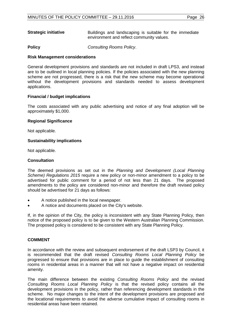**Strategic initiative Buildings and landscaping is suitable for the immediate** environment and reflect community values.

**Policy** *Consulting Rooms Policy*.

# **Risk Management considerations**

General development provisions and standards are not included in draft LPS3, and instead are to be outlined in local planning policies. If the policies associated with the new planning scheme are not progressed, there is a risk that the new scheme may become operational without the development provisions and standards needed to assess development applications.

#### **Financial / budget implications**

The costs associated with any public advertising and notice of any final adoption will be approximately \$1,000.

#### **Regional Significance**

Not applicable.

# **Sustainability implications**

Not applicable.

# **Consultation**

The deemed provisions as set out in the *Planning and Development (Local Planning Scheme) Regulations 2015* require a new policy or non-minor amendment to a policy to be advertised for public comment for a period of not less than 21 days. The proposed amendments to the policy are considered non-minor and therefore the draft revised policy should be advertised for 21 days as follows:

- A notice published in the local newspaper.
- A notice and documents placed on the City's website.

If, in the opinion of the City, the policy is inconsistent with any State Planning Policy, then notice of the proposed policy is to be given to the Western Australian Planning Commission. The proposed policy is considered to be consistent with any State Planning Policy.

# **COMMENT**

In accordance with the review and subsequent endorsement of the draft LSP3 by Council, it is recommended that the draft revised *Consulting Rooms Local Planning Policy* be progressed to ensure that provisions are in place to guide the establishment of consulting rooms in residential areas in a manner that will not have a negative impact on residential amenity.

The main difference between the existing *Consulting Rooms Policy* and the revised *Consulting Rooms Local Planning Policy* is that the revised policy contains all the development provisions in the policy, rather than referencing development standards in the scheme. No major changes to the intent of the development provisions are proposed and the locational requirements to avoid the adverse cumulative impact of consulting rooms in residential areas have been retained.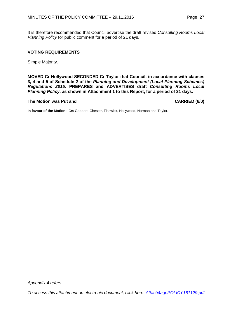It is therefore recommended that Council advertise the draft revised *Consulting Rooms Local Planning Policy* for public comment for a period of 21 days.

# **VOTING REQUIREMENTS**

Simple Majority.

**MOVED Cr Hollywood SECONDED Cr Taylor that Council, in accordance with clauses 3, 4 and 5 of Schedule 2 of the** *Planning and Development (Local Planning Schemes) Regulations 2015,* **PREPARES and ADVERTISES draft** *Consulting Rooms Local Planning Policy***, as shown in Attachment 1 to this Report, for a period of 21 days.**

#### **The Motion was Put and CARRIED (6/0)**

**In favour of the Motion:** Crs Gobbert, Chester, Fishwick, Hollywood, Norman and Taylor.

*Appendix 4 refers*

<span id="page-26-0"></span>*[To access this attachment on electronic document, click here: Attach4agnPOLICY161129.pdf](http://www.joondalup.wa.gov.au/files/committees/POLI/2016/Attach4agnPOLICY161129.pdf)*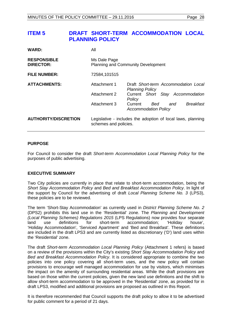# **ITEM 5 DRAFT SHORT-TERM ACCOMMODATION LOCAL PLANNING POLICY**

| <b>WARD:</b>                           | All                                                                                  |                                                                          |  |
|----------------------------------------|--------------------------------------------------------------------------------------|--------------------------------------------------------------------------|--|
| <b>RESPONSIBLE</b><br><b>DIRECTOR:</b> | Ms Dale Page<br><b>Planning and Community Development</b>                            |                                                                          |  |
| <b>FILE NUMBER:</b>                    | 72584,101515                                                                         |                                                                          |  |
| <b>ATTACHMENTS:</b>                    | Attachment 1                                                                         | Draft Short-term Accommodation Local<br><b>Planning Policy</b>           |  |
|                                        | Attachment 2                                                                         | Current Short Stay Accommodation<br>Policy                               |  |
|                                        | Attachment 3                                                                         | <b>Breakfast</b><br>Current<br>Bed<br>and<br><b>Accommodation Policy</b> |  |
| <b>AUTHORITY/DISCRETION</b>            | Legislative - includes the adoption of local laws, planning<br>schemes and policies. |                                                                          |  |

# **PURPOSE**

For Council to consider the draft *Short-term Accommodation Local Planning Policy* for the purposes of public advertising.

# **EXECUTIVE SUMMARY**

Two City policies are currently in place that relate to short-term accommodation, being the *Short Stay Accommodation Policy* and *Bed and Breakfast Accommodation Policy*. In light of the support by Council for the advertising of draft *Local Planning Scheme No. 3* (LPS3), these policies are to be reviewed.

The term 'Short-Stay Accommodation' as currently used in *District Planning Scheme No. 2* (DPS2) prohibits this land use in the 'Residential' zone. The *Planning and Development (Local Planning Schemes) Regulations 2015* (LPS Regulations) now provides four separate land use definitions for short-term accommodation; 'Holiday house', 'Holiday Accommodation', 'Serviced Apartment' and 'Bed and Breakfast'. These definitions are included in the draft LPS3 and are currently listed as discretionary ('D') land uses within the 'Residential' zone.

The draft *Short-term Accommodation Local Planning Policy* (Attachment 1 refers) is based on a review of the provisions within the City's existing *Short Stay Accommodation Policy* and *Bed and Breakfast Accommodation Policy*. It is considered appropriate to combine the two policies into one policy covering all short-term uses, and the new policy will contain provisions to encourage well managed accommodation for use by visitors, which minimises the impact on the amenity of surrounding residential areas. While the draft provisions are based on those within the current policies, given the new land use definitions and the shift to allow short-term accommodation to be approved in the 'Residential' zone, as provided for in draft LPS3, modified and additional provisions are proposed as outlined in this Report.

It is therefore recommended that Council supports the draft policy to allow it to be advertised for public comment for a period of 21 days.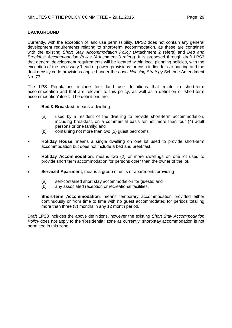# **BACKGROUND**

Currently, with the exception of land use permissibility, DPS2 does not contain any general development requirements relating to short-term accommodation, as these are contained with the existing *Short Stay Accommodation Policy* (Attachment 2 refers) and *Bed and Breakfast Accommodation Policy* (Attachment 3 refers). It is proposed through draft LPS3 that general development requirements will be located within local planning policies, with the exception of the necessary 'head of power' provisions for cash-in-lieu for car parking and the dual density code provisions applied under the *Local Housing Strategy* Scheme Amendment No. 73.

The LPS Regulations include four land use definitions that relate to short-term accommodation and that are relevant to this policy, as well as a definition of 'short-term accommodation' itself. The definitions are:

- **Bed & Breakfast**, means a dwelling
	- (a) used by a resident of the dwelling to provide short-term accommodation, including breakfast, on a commercial basis for not more than four (4) adult persons or one family; and
	- (b) containing not more than two (2) guest bedrooms.
- **Holiday House**, means a single dwelling on one lot used to provide short-term accommodation but does not include a bed and breakfast.
- **Holiday Accommodation**, means two (2) or more dwellings on one lot used to provide short term accommodation for persons other than the owner of the lot.
- **Serviced Apartment**, means a group of units or apartments providing
	- (a) self-contained short stay accommodation for guests; and<br>(b) any associated reception or recreational facilities.
	- any associated reception or recreational facilities.
- **Short-term Accommodation**, means temporary accommodation provided either continuously or from time to time with no guest accommodated for periods totalling more than three (3) months in any 12 month period.

Draft LPS3 includes the above definitions, however the existing *Short Stay Accommodation Policy* does not apply to the 'Residential' zone as currently, short-stay accommodation is not permitted in this zone.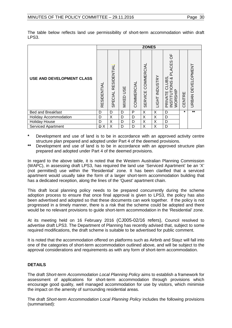The table below reflects land use permissibility of short-term accommodation within draft LPS3.

|                                  |                     |                        |                     |            | <b>ZONES</b>                 |                |                                                                                                     |         |                   |
|----------------------------------|---------------------|------------------------|---------------------|------------|------------------------------|----------------|-----------------------------------------------------------------------------------------------------|---------|-------------------|
| <b>USE AND DEVELOPMENT CLASS</b> | RESIDENTIAL         | RESIDENTIAL<br>SPECIAL | <b>USE</b><br>MIXED | COMMERCIAL | COMMERCIAL<br><b>SERVICE</b> | LIGHT INDUSTRY | $\frac{\mu}{\Omega}$<br><b>CES</b><br>CLUBS,<br>∞<br><b>SNOI</b><br>INSTITUTI<br>WORSHIP<br>PRIVATE | CENTRE  | URBAN DEVELOPMENT |
| <b>Bed and Breakfast</b>         | D                   | D                      | D                   | P          | X                            | X              | D                                                                                                   | $\star$ | $***$             |
| <b>Holiday Accommodation</b>     | D                   | X                      | D                   | D          | X                            | X              | D                                                                                                   |         |                   |
| <b>Holiday House</b>             | D                   | X                      | D                   | D          | X                            | X              | D                                                                                                   |         |                   |
| Serviced Apartment               | $\mathsf{D} \times$ | X                      | D                   | D          | X                            | X              | D                                                                                                   |         |                   |

- **\*** Development and use of land is to be in accordance with an approved activity centre structure plan prepared and adopted under Part 4 of the deemed provisions.
- **\*\*** Development and use of land is to be in accordance with an approved structure plan prepared and adopted under Part 4 of the deemed provisions.

In regard to the above table, it is noted that the Western Australian Planning Commission (WAPC), in assessing draft LPS3, has required the land use 'Serviced Apartment' be an 'X' (not permitted) use within the 'Residential' zone. It has been clarified that a serviced apartment would usually take the form of a larger short-term accommodation building that has a dedicated reception, along the lines of the 'Quest' apartment chain.

This draft local planning policy needs to be prepared concurrently during the scheme adoption process to ensure that once final approval is given to LPS3, the policy has also been advertised and adopted so that these documents can work together. If the policy is not progressed in a timely manner, there is a risk that the scheme could be adopted and there would be no relevant provisions to guide short-term accommodation in the 'Residential' zone.

At its meeting held on 16 February 2016 (CJ005-02/16 refers), Council resolved to advertise draft LPS3. The Department of Planning has recently advised that, subject to some required modifications, the draft scheme is suitable to be advertised for public comment.

It is noted that the accommodation offered on platforms such as Airbnb and Stayz will fall into one of the categories of short-term accommodation outlined above, and will be subject to the approval considerations and requirements as with any form of short-term accommodation.

# **DETAILS**

The draft *Short-term Accommodation Local Planning Policy* aims to establish a framework for assessment of applications for short-term accommodation through provisions which encourage good quality, well managed accommodation for use by visitors, which minimise the impact on the amenity of surrounding residential areas.

The draft *Short-term Accommodation Local Planning Policy* includes the following provisions (summarised):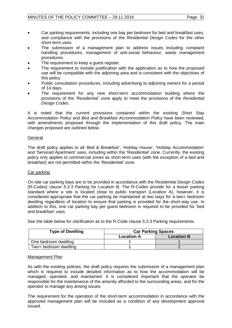- Car parking requirements, including one bay per bedroom for bed and breakfast uses, and compliance with the provisions of the *Residential Design Codes* for the other short-term uses.
- The submission of a management plan to address issues including complaint handling procedures, management of anti-social behaviour, waste management procedures.
- The requirement to keep a quest register.
- The requirement to include justification with the application as to how the proposed use will be compatible with the adjoining area and is consistent with the objectives of this policy.
- Public consultation procedures, including advertising to adjoining owners for a period of 14 days.
- The requirement for any new short-term accommodation building where the provisions of the 'Residential' zone apply to meet the provisions of the *Residential Design Codes*.

It is noted that the current provisions contained within the existing *Short Stay Accommodation Policy* and *Bed and Breakfast Accommodation Policy* have been reviewed, with amendments proposed through the implementation of this draft policy. The main changes proposed are outlined below.

# General

The draft policy applies to all 'Bed & Breakfast', 'Holiday House', 'Holiday Accommodation' and 'Serviced Apartment' uses, including within the 'Residential' zone. Currently, the existing policy only applies to commercial zones as short-term uses (with the exception of a bed and breakfast) are not permitted within the 'Residential' zone.

# Car parking

On-site car parking bays are to be provided in accordance with the *Residential Design Codes*  (R-Codes) *clause 5.3.3 Parking* for Location B. The R-Codes provide for a lesser parking standard where a site is located close to public transport (Location A), however, it is considered appropriate that the car parking be maintained at two bays for a two+ bedroom dwelling regardless of location to ensure that parking is provided for the short-stay use. In addition to this, one car parking bay per guest bedroom is required to be provided for 'bed and breakfast' uses.

See the table below for clarification as to the R-Code clause 5.3.3 Parking requirements.

| <b>Type of Dwelling</b> | <b>Car Parking Spaces</b> |                   |  |
|-------------------------|---------------------------|-------------------|--|
|                         | <b>Location A</b>         | <b>Location B</b> |  |
| One bedroom dwelling    |                           |                   |  |
| Two+ bedroom dwelling   |                           |                   |  |

# Management Plan

As with the existing policies, the draft policy requires the submission of a management plan which is required to include detailed information as to how the accommodation will be managed, operated, and maintained. It is considered important that the operator be responsible for the maintenance of the amenity afforded to the surrounding areas, and for the operator to manage any arising issues.

The requirement for the operation of the short-term accommodation in accordance with the approved management plan will be included as a condition of any development approval issued.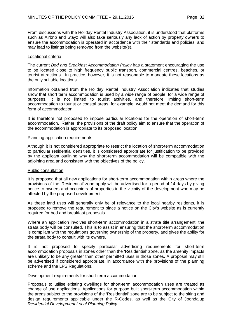From discussions with the Holiday Rental Industry Association, it is understood that platforms such as Airbnb and Stayz will also take seriously any lack of action by property owners to ensure the accommodation is operated in accordance with their standards and policies, and may lead to listings being removed from the website(s).

# Locational criteria

The current *Bed and Breakfast Accommodation Policy* has a statement encouraging the use to be located close to high frequency public transport, commercial centres, beaches, or tourist attractions. In practice, however, it is not reasonable to mandate these locations as the only suitable locations.

Information obtained from the Holiday Rental Industry Association indicates that studies show that short term accommodation is used by a wide range of people, for a wide range of purposes. It is not limited to tourist activities, and therefore limiting short-term accommodation to tourist or coastal areas, for example, would not meet the demand for this form of accommodation.

It is therefore not proposed to impose particular locations for the operation of short-term accommodation. Rather, the provisions of the draft policy aim to ensure that the operation of the accommodation is appropriate to its proposed location.

# Planning application requirements

Although it is not considered appropriate to restrict the location of short-term accommodation to particular residential densities, it is considered appropriate for justification to be provided by the applicant outlining why the short-term accommodation will be compatible with the adjoining area and consistent with the objectives of the policy.

# Public consultation

It is proposed that all new applications for short-term accommodation within areas where the provisions of the 'Residential' zone apply will be advertised for a period of 14 days by giving notice to owners and occupiers of properties in the vicinity of the development who may be affected by the proposed development.

As these land uses will generally only be of relevance to the local nearby residents, it is proposed to remove the requirement to place a notice on the City's website as is currently required for bed and breakfast proposals.

Where an application involves short-term accommodation in a strata title arrangement, the strata body will be consulted. This is to assist in ensuring that the short-term accommodation is compliant with the regulations governing ownership of the property, and gives the ability for the strata body to consult with its owners.

It is not proposed to specify particular advertising requirements for short-term accommodation proposals in zones other than the 'Residential' zone, as the amenity impacts are unlikely to be any greater than other permitted uses in those zones. A proposal may still be advertised if considered appropriate, in accordance with the provisions of the planning scheme and the LPS Regulations.

# Development requirements for short-term accommodation

Proposals to utilise existing dwellings for short-term accommodation uses are treated as change of use applications. Applications for purpose built short-term accommodation within the areas subject to the provisions of the 'Residential' zone are to be subject to the siting and design requirements applicable under the R-Codes, as well as the City of Joondalup *Residential Development Local Planning Policy.*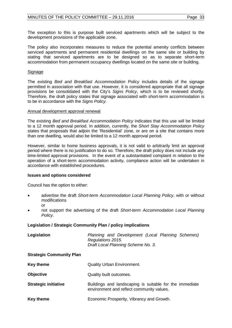The exception to this is purpose built serviced apartments which will be subject to the development provisions of the applicable zone.

The policy also incorporates measures to reduce the potential amenity conflicts between serviced apartments and permanent residential dwellings on the same site or building by stating that serviced apartments are to be designed so as to separate short-term accommodation from permanent occupancy dwellings located on the same site or building.

# Signage

The existing *Bed and Breakfast Accommodation Policy* includes details of the signage permitted in association with that use. However, it is considered appropriate that all signage provisions be consolidated with the City's *Signs Policy*, which is to be reviewed shortly. Therefore, the draft policy states that signage associated with short-term accommodation is to be in accordance with the *Signs Policy*.

# Annual development approval renewal

The existing *Bed and Breakfast Accommodation Policy* indicates that this use will be limited to a 12 month approval period. In addition, currently, the *Short Stay Accommodation Policy* states that proposals that adjoin the 'Residential' zone, or are on a site that contains more than one dwelling, would also be limited to a 12 month approval period.

However, similar to home business approvals, it is not valid to arbitrarily limit an approval period where there is no justification to do so. Therefore, the draft policy does not include any time-limited approval provisions. In the event of a substantiated complaint in relation to the operation of a short-term accommodation activity, compliance action will be undertaken in accordance with established procedures.

# **Issues and options considered**

Council has the option to either:

- advertise the draft *Short-term Accommodation Local Planning Policy*, with or without modifications or
- not support the advertising of the draft *Short-term Accommodation Local Planning Policy*.

# **Legislation / Strategic Community Plan / policy implications**

| Legislation                     | Planning and Development (Local Planning Schemes)<br>Regulations 2015.<br>Draft Local Planning Scheme No. 3. |
|---------------------------------|--------------------------------------------------------------------------------------------------------------|
| <b>Strategic Community Plan</b> |                                                                                                              |
| <b>Key theme</b>                | <b>Quality Urban Environment.</b>                                                                            |
| <b>Objective</b>                | Quality built outcomes.                                                                                      |
| <b>Strategic initiative</b>     | Buildings and landscaping is suitable for the immediate<br>environment and reflect community values.         |
| <b>Key theme</b>                | Economic Prosperity, Vibrancy and Growth.                                                                    |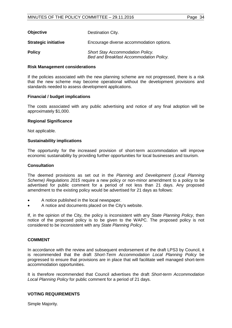| <b>Objective</b>            | Destination City.                                                                  |
|-----------------------------|------------------------------------------------------------------------------------|
| <b>Strategic initiative</b> | Encourage diverse accommodation options.                                           |
| <b>Policy</b>               | <b>Short Stay Accommodation Policy.</b><br>Bed and Breakfast Accommodation Policy. |

#### **Risk Management considerations**

If the policies associated with the new planning scheme are not progressed, there is a risk that the new scheme may become operational without the development provisions and standards needed to assess development applications.

#### **Financial / budget implications**

The costs associated with any public advertising and notice of any final adoption will be approximately \$1,000.

#### **Regional Significance**

Not applicable.

#### **Sustainability implications**

The opportunity for the increased provision of short-term accommodation will improve economic sustainability by providing further opportunities for local businesses and tourism.

#### **Consultation**

The deemed provisions as set out in the *Planning and Development (Local Planning Scheme) Regulations 2015* require a new policy or non-minor amendment to a policy to be advertised for public comment for a period of not less than 21 days. Any proposed amendment to the existing policy would be advertised for 21 days as follows:

- A notice published in the local newspaper.
- A notice and documents placed on the City's website.

If, in the opinion of the City, the policy is inconsistent with any *State Planning Policy*, then notice of the proposed policy is to be given to the WAPC. The proposed policy is not considered to be inconsistent with any *State Planning Policy*.

#### **COMMENT**

In accordance with the review and subsequent endorsement of the draft LPS3 by Council, it is recommended that the draft *Short-Term Accommodation Local Planning Policy* be progressed to ensure that provisions are in place that will facilitate well managed short-term accommodation opportunities.

It is therefore recommended that Council advertises the draft *Short-term Accommodation Local Planning Policy* for public comment for a period of 21 days.

#### **VOTING REQUIREMENTS**

Simple Majority.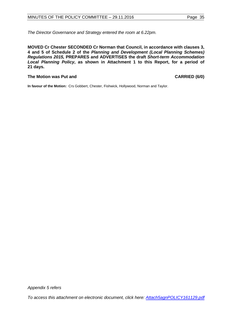*The Director Governance and Strategy entered the room at 6.22pm.* 

**MOVED Cr Chester SECONDED Cr Norman that Council, in accordance with clauses 3, 4 and 5 of Schedule 2 of the** *Planning and Development (Local Planning Schemes) Regulations 2015,* **PREPARES and ADVERTISES the draft** *Short-term Accommodation Local Planning Policy***, as shown in Attachment 1 to this Report, for a period of 21 days.**

#### **The Motion was Put and CARRIED (6/0)**

**In favour of the Motion:** Crs Gobbert, Chester, Fishwick, Hollywood, Norman and Taylor.

*Appendix 5 refers*

*[To access this attachment on electronic document, click here: Attach5agnPOLICY161129.pdf](http://www.joondalup.wa.gov.au/files/committees/POLI/2016/Attach5agnPOLICY161129.pdf)*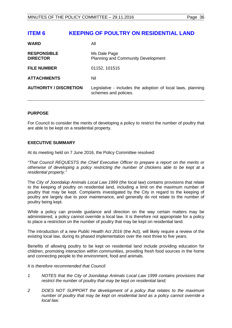# <span id="page-35-0"></span>**ITEM 6 KEEPING OF POULTRY ON RESIDENTIAL LAND**

| <b>WARD</b>                           | All                                                                                  |
|---------------------------------------|--------------------------------------------------------------------------------------|
| <b>RESPONSIBLE</b><br><b>DIRECTOR</b> | Ms Dale Page<br><b>Planning and Community Development</b>                            |
| <b>FILE NUMBER</b>                    | 01152, 101515                                                                        |
| <b>ATTACHMENTS</b>                    | Nil                                                                                  |
| <b>AUTHORITY / DISCRETION</b>         | Legislative - includes the adoption of local laws, planning<br>schemes and policies. |

# **PURPOSE**

For Council to consider the merits of developing a policy to restrict the number of poultry that are able to be kept on a residential property.

# **EXECUTIVE SUMMARY**

At its meeting held on 7 June 2016, the Policy Committee resolved:

*"That Council REQUESTS the Chief Executive Officer to prepare a report on the merits or otherwise of developing a policy restricting the number of chickens able to be kept at a residential property."*

The *City of Joondalup Animals Local Law 1999* (the local law) contains provisions that relate to the keeping of poultry on residential land, including a limit on the maximum number of poultry that may be kept. Complaints investigated by the City in regard to the keeping of poultry are largely due to poor maintenance, and generally do not relate to the number of poultry being kept.

While a policy can provide guidance and direction on the way certain matters may be administered, a policy cannot override a local law. It is therefore not appropriate for a policy to place a restriction on the number of poultry that may be kept on residential land.

The introduction of a new *Public Health Act 2016* (the Act)*,* will likely require a review of the existing local law, during its phased implementation over the next three to five years.

Benefits of allowing poultry to be kept on residential land include providing education for children, promoting interaction within communities, providing fresh food sources in the home and connecting people to the environment, food and animals.

*It is therefore recommended that Council:* 

- *1 NOTES that the City of Joondalup Animals Local Law 1999 contains provisions that restrict the number of poultry that may be kept on residential land;*
- *2 DOES NOT SUPPORT the development of a policy that relates to the maximum number of poultry that may be kept on residential land as a policy cannot override a local law.*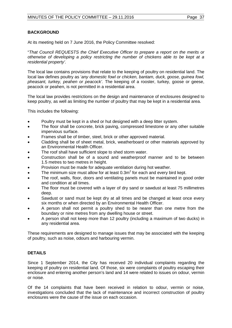# **BACKGROUND**

At its meeting held on 7 June 2016, the Policy Committee resolved:

"*That Council REQUESTS the Chief Executive Officer to prepare a report on the merits or otherwise of developing a policy restricting the number of chickens able to be kept at a residential property'.*

The local law contains provisions that relate to the keeping of poultry on residential land. The local law defines poultry as '*any domestic fowl or chicken, bantam, duck, goose, guinea fowl, pheasant, turkey, peahen or peacock'.* The keeping of a rooster, turkey, goose or geese, peacock or peahen, is not permitted in a residential area.

The local law provides restrictions on the design and maintenance of enclosures designed to keep poultry, as well as limiting the number of poultry that may be kept in a residential area.

This includes the following:

- Poultry must be kept in a shed or hut designed with a deep litter system.
- The floor shall be concrete, brick paving, compressed limestone or any other suitable impervious surface.
- Frames shall be of timber, steel, brick or other approved material.
- Cladding shall be of sheet metal, brick, weatherboard or other materials approved by an Environmental Health Officer.
- The roof shall have sufficient slope to shed storm water.
- Construction shall be of a sound and weatherproof manner and to be between 1.5 metres to two metres in height.
- Provision must be made for adequate ventilation during hot weather.
- The minimum size must allow for at least  $0.3m<sup>2</sup>$  for each and every bird kept.
- The roof, walls, floor, doors and ventilating panels must be maintained in good order and condition at all times.
- The floor must be covered with a layer of dry sand or sawdust at least 75 millimetres deep.
- Sawdust or sand must be kept dry at all times and be changed at least once every six months or when directed by an Environmental Health Officer.
- A person shall not permit a poultry shed to be nearer than one metre from the boundary or nine metres from any dwelling house or street.
- A person shall not keep more than 12 poultry (including a maximum of two ducks) in any residential area.

These requirements are designed to manage issues that may be associated with the keeping of poultry, such as noise, odours and harbouring vermin.

# **DETAILS**

Since 1 September 2014, the City has received 20 individual complaints regarding the keeping of poultry on residential land. Of those, six were complaints of poultry escaping their enclosure and entering another person's land and 14 were related to issues on odour, vermin or noise.

Of the 14 complaints that have been received in relation to odour, vermin or noise, investigations concluded that the lack of maintenance and incorrect construction of poultry enclosures were the cause of the issue on each occasion.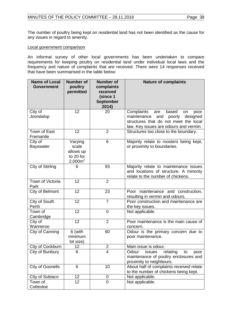The number of poultry being kept on residential land has not been identified as the cause for any issues in regard to amenity.

#### Local government comparison

An informal survey of other local governments has been undertaken to compare requirements for keeping poultry on residential land under individual local laws and the frequency and nature of complaints that are received. There were 14 responses received that have been summarised in the table below:

| <b>Name of Local</b><br><b>Government</b> | <b>Number of</b><br>poultry<br>permitted                 | <b>Number of</b><br>complaints<br>received<br>(since 1<br><b>September</b> | <b>Nature of complaints</b>                                                                                                                                          |
|-------------------------------------------|----------------------------------------------------------|----------------------------------------------------------------------------|----------------------------------------------------------------------------------------------------------------------------------------------------------------------|
|                                           |                                                          | 2014)                                                                      |                                                                                                                                                                      |
| City of<br>Joondalup                      | 12                                                       | 20                                                                         | Complaints<br>based<br>are<br>poor<br>on<br>and poorly<br>maintenance<br>designed<br>structures that do not meet the local<br>law. Key issues are odours and vermin. |
| Town of East<br>Fremantle                 | 12                                                       | $\overline{2}$                                                             | Structures too close to the boundary.                                                                                                                                |
| City of<br><b>Bayswater</b>               | Varying<br>scale<br>allows up<br>to 20 for<br>$2,000m^2$ | 6                                                                          | Majority relate to roosters being kept,<br>or proximity to boundaries.                                                                                               |
| City of Stirling                          | 6                                                        | 93                                                                         | Majority relate to maintenance issues<br>and locations of structure. A minority<br>relate to the number of chickens.                                                 |
| Town of Victoria<br>Park                  | 12                                                       | $\overline{2}$                                                             |                                                                                                                                                                      |
| City of Belmont                           | 12                                                       | 23                                                                         | Poor maintenance and construction,<br>resulting in vermin and odours.                                                                                                |
| City of South<br>Perth                    | 12                                                       | $\overline{7}$                                                             | Poor construction and maintenance are<br>the key issues.                                                                                                             |
| Town of<br>Cambridge                      | 12                                                       | $\overline{0}$                                                             | Not applicable.                                                                                                                                                      |
| City of<br>Wanneroo                       | 12                                                       | $\overline{2}$                                                             | Poor maintenance is the main cause of<br>concern.                                                                                                                    |
| City of Canning                           | 6 (with<br>minimum<br>lot size)                          | 60                                                                         | Odour is the primary concern due to<br>poor maintenance.                                                                                                             |
| City of Cockburn                          | 12                                                       | $\overline{2}$                                                             | Main issue is odour.                                                                                                                                                 |
| City of Bunbury                           | 6                                                        | $\overline{\mathbf{4}}$                                                    | Odour<br>relating<br><i>issues</i><br>to<br>poor<br>maintenance of poultry enclosures and<br>proximity to neighbours.                                                |
| <b>City of Gosnells</b>                   | 6                                                        | 10                                                                         | About half of complaints received relate<br>to the number of chickens being kept.                                                                                    |
| City of Subiaco                           | 12                                                       | 0                                                                          | Not applicable.                                                                                                                                                      |
| Town of<br>Cottesloe                      | 12                                                       | 0                                                                          | Not applicable.                                                                                                                                                      |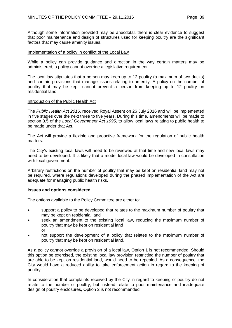Although some information provided may be anecdotal, there is clear evidence to suggest that poor maintenance and design of structures used for keeping poultry are the significant factors that may cause amenity issues.

#### Implementation of a policy in conflict of the Local Law

While a policy can provide guidance and direction in the way certain matters may be administered, a policy cannot override a legislative requirement.

The local law stipulates that a person may keep up to 12 poultry (a maximum of two ducks) and contain provisions that manage issues relating to amenity. A policy on the number of poultry that may be kept, cannot prevent a person from keeping up to 12 poultry on residential land.

#### Introduction of the Public Health Act

The *Public Health Act 2016*, received Royal Assent on 26 July 2016 and will be implemented in five stages over the next three to five years. During this time, amendments will be made to section 3.5 of the *Local Government Act 1995,* to allow local laws relating to public health to be made under that Act.

The Act will provide a flexible and proactive framework for the regulation of public health matters.

The City's existing local laws will need to be reviewed at that time and new local laws may need to be developed. It is likely that a model local law would be developed in consultation with local government.

Arbitrary restrictions on the number of poultry that may be kept on residential land may not be required, where regulations developed during the phased implementation of the Act are adequate for managing public health risks.

#### **Issues and options considered**

The options available to the Policy Committee are either to:

- support a policy to be developed that relates to the maximum number of poultry that may be kept on residential land
- seek an amendment to the existing local law, reducing the maximum number of poultry that may be kept on residential land or
- not support the development of a policy that relates to the maximum number of poultry that may be kept on residential land.

As a policy cannot override a provision of a local law, Option 1 is not recommended. Should this option be exercised, the existing local law provision restricting the number of poultry that are able to be kept on residential land, would need to be repealed. As a consequence, the City would have a reduced ability to take enforcement action in regard to the keeping of poultry.

In consideration that complaints received by the City in regard to keeping of poultry do not relate to the number of poultry, but instead relate to poor maintenance and inadequate design of poultry enclosures, Option 2 is not recommended.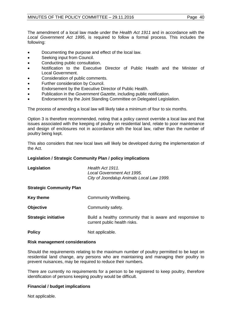The amendment of a local law made under the *Health Act 1911* and in accordance with the *Local Government Act 1995*, is required to follow a formal process. This includes the following:

- Documenting the purpose and effect of the local law.
- Seeking input from Council.
- Conducting public consultation.
- Notification to the Executive Director of Public Health and the Minister of Local Government.
- Consideration of public comments.
- Further consideration by Council.
- Endorsement by the Executive Director of Public Health.
- Publication in the *Government Gazette*, including public notification.
- Endorsement by the Joint Standing Committee on Delegated Legislation.

The process of amending a local law will likely take a minimum of four to six months.

Option 3 is therefore recommended, noting that a policy cannot override a local law and that issues associated with the keeping of poultry on residential land, relate to poor maintenance and design of enclosures not in accordance with the local law, rather than the number of poultry being kept.

This also considers that new local laws will likely be developed during the implementation of the Act.

# **Legislation / Strategic Community Plan / policy implications**

| Legislation                     | Health Act 1911.<br>Local Government Act 1995.<br>City of Joondalup Animals Local Law 1999. |
|---------------------------------|---------------------------------------------------------------------------------------------|
| <b>Strategic Community Plan</b> |                                                                                             |
| <b>Key theme</b>                | Community Wellbeing.                                                                        |
| <b>Objective</b>                | Community safety.                                                                           |
| <b>Strategic initiative</b>     | Build a healthy community that is aware and responsive to<br>current public health risks.   |
| <b>Policy</b>                   | Not applicable.                                                                             |

# **Risk management considerations**

Should the requirements relating to the maximum number of poultry permitted to be kept on residential land change, any persons who are maintaining and managing their poultry to prevent nuisances, may be required to reduce their numbers.

There are currently no requirements for a person to be registered to keep poultry, therefore identification of persons keeping poultry would be difficult.

# **Financial / budget implications**

Not applicable.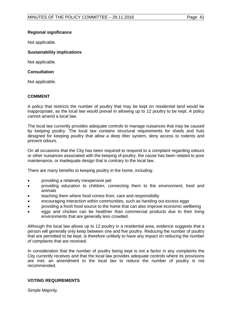# **Regional significance**

Not applicable.

# **Sustainability implications**

Not applicable.

# **Consultation**

Not applicable.

#### **COMMENT**

A policy that restricts the number of poultry that may be kept on residential land would be inappropriate, as the local law would prevail in allowing up to 12 poultry to be kept. A policy cannot amend a local law.

The local law currently provides adequate controls to manage nuisances that may be caused by keeping poultry. The local law contains structural requirements for sheds and huts designed for keeping poultry that allow a deep litter system, deny access to rodents and prevent odours.

On all occasions that the City has been required to respond to a complaint regarding odours or other nuisances associated with the keeping of poultry, the cause has been related to poor maintenance, or inadequate design that is contrary to the local law.

There are many benefits to keeping poultry in the home, including:

- providing a relatively inexpensive pet
- providing education to children, connecting them to the environment, food and animals
- teaching them where food comes from, care and responsibility
- encouraging interaction within communities, such as handing out excess eggs
- providing a fresh food source to the home that can also improve economic wellbeing
- eggs and chicken can be healthier than commercial products due to their living environments that are generally less crowded.

Although the local law allows up to 12 poultry in a residential area, evidence suggests that a person will generally only keep between one and five poultry. Reducing the number of poultry that are permitted to be kept, is therefore unlikely to have any impact on reducing the number of complaints that are received.

In consideration that the number of poultry being kept is not a factor in any complaints the City currently receives and that the local law provides adequate controls where its provisions are met, an amendment to the local law to reduce the number of poultry is not recommended.

# **VOTING REQUIREMENTS**

Simple Majority.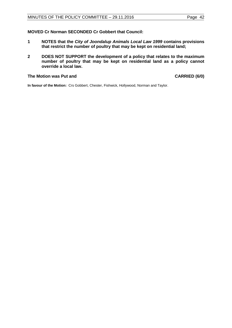# **MOVED Cr Norman SECONDED Cr Gobbert that Council:**

- **1 NOTES that the** *City of Joondalup Animals Local Law 1999* **contains provisions that restrict the number of poultry that may be kept on residential land;**
- **2 DOES NOT SUPPORT the development of a policy that relates to the maximum number of poultry that may be kept on residential land as a policy cannot override a local law.**

# **The Motion was Put and CARRIED (6/0)**

**In favour of the Motion:** Crs Gobbert, Chester, Fishwick, Hollywood, Norman and Taylor.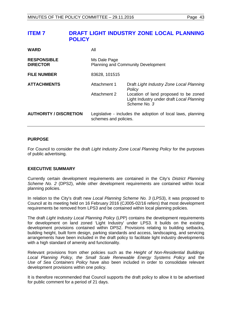<span id="page-42-0"></span>

| <b>WARD</b>                           | All                                                       |                                                                                                    |  |
|---------------------------------------|-----------------------------------------------------------|----------------------------------------------------------------------------------------------------|--|
| <b>RESPONSIBLE</b><br><b>DIRECTOR</b> | Ms Dale Page<br><b>Planning and Community Development</b> |                                                                                                    |  |
| <b>FILE NUMBER</b>                    | 83628, 101515                                             |                                                                                                    |  |
| <b>ATTACHMENTS</b>                    | Attachment 1                                              | Draft Light Industry Zone Local Planning<br>Policy                                                 |  |
|                                       | Attachment 2                                              | Location of land proposed to be zoned<br>Light Industry under draft Local Planning<br>Scheme No. 3 |  |
| <b>AUTHORITY / DISCRETION</b>         | schemes and policies.                                     | Legislative - includes the adoption of local laws, planning                                        |  |

# **PURPOSE**

For Council to consider the draft *Light Industry Zone Local Planning Policy* for the purposes of public advertising.

# **EXECUTIVE SUMMARY**

Currently certain development requirements are contained in the City's *District Planning Scheme No. 2* (DPS2), while other development requirements are contained within local planning policies.

In relation to the City's draft new *Local Planning Scheme No. 3* (LPS3), it was proposed to Council at its meeting held on 16 February 2016 (CJ005-02/16 refers) that most development requirements be removed from LPS3 and be contained within local planning policies.

The draft *Light Industry Local Planning Policy* (LPP) contains the development requirements for development on land zoned 'Light Industry' under LPS3. It builds on the existing development provisions contained within DPS2. Provisions relating to building setbacks, building height, built form design, parking standards and access, landscaping, and servicing arrangements have been included in the draft policy to facilitate light industry developments with a high standard of amenity and functionality.

Relevant provisions from other policies such as the *Height of Non-Residential Buildings Local Planning Policy, the Small Scale Renewable Energy Systems Policy* and the *Use of Sea Containers Policy* have also been included in order to consolidate relevant development provisions within one policy.

It is therefore recommended that Council supports the draft policy to allow it to be advertised for public comment for a period of 21 days.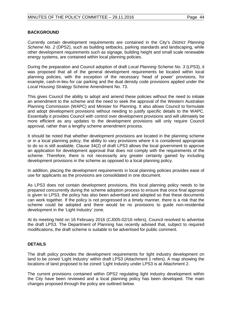# **BACKGROUND**

Currently certain development requirements are contained in the City's *District Planning Scheme No. 2* (DPS2), such as building setbacks, parking standards and landscaping, while other development requirements such as signage, building height and small scale renewable energy systems, are contained within local planning policies.

During the preparation and Council adoption of draft *Local Planning Scheme No. 3* (LPS3), it was proposed that all of the general development requirements be located within local planning policies, with the exception of the necessary 'head of power' provisions, for example, cash-in-lieu for car parking and the dual density code provisions applied under the *Local Housing Strategy* Scheme Amendment No. 73.

This gives Council the ability to adopt and amend these policies without the need to initiate an amendment to the scheme and the need to seek the approval of the Western Australian Planning Commission (WAPC) and Minister for Planning. It also allows Council to formulate and adopt development provisions without needing to justify specific details to the WAPC. Essentially it provides Council with control over development provisions and will ultimately be more efficient as any updates to the development provisions will only require Council approval, rather than a lengthy scheme amendment process.

It should be noted that whether development provisions are located in the planning scheme or in a local planning policy, the ability to vary provisions where it is considered appropriate to do so is still available. Clause 34(2) of draft LPS3 allows the local government to approve an application for development approval that does not comply with the requirements of the scheme. Therefore, there is not necessarily any greater certainty gained by including development provisions in the scheme as opposed to a local planning policy.

In addition, placing the development requirements in local planning policies provides ease of use for applicants as the provisions are consolidated in one document.

As LPS3 does not contain development provisions, this local planning policy needs to be prepared concurrently during the scheme adoption process to ensure that once final approval is given to LPS3, the policy has also been advertised and adopted so that these documents can work together. If the policy is not progressed in a timely manner, there is a risk that the scheme could be adopted and there would be no provisions to guide non-residential development in the 'Light Industry' zone.

At its meeting held on 16 February 2016 (CJ005-02/16 refers), Council resolved to advertise the draft LPS3. The Department of Planning has recently advised that, subject to required modifications, the draft scheme is suitable to be advertised for public comment.

# **DETAILS**

The draft policy provides the development requirements for light industry development on land to be zoned 'Light Industry' within draft LPS3 (Attachment 1 refers). A map showing the locations of land proposed to be zoned 'Light Industry under LPS3 is at Attachment 2.

The current provisions contained within DPS2 regulating light industry development within the City have been reviewed and a local planning policy has been developed. The main changes proposed through the policy are outlined below.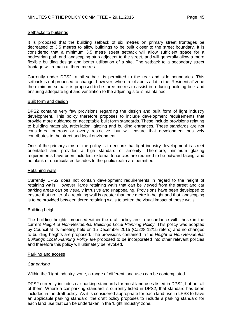#### Setbacks to buildings

It is proposed that the building setback of six metres on primary street frontages be decreased to 3.5 metres to allow buildings to be built closer to the street boundary. It is considered that a minimum 3.5 metre street setback will allow sufficient space for a pedestrian path and landscaping strip adjacent to the street, and will generally allow a more flexible building design and better utilisation of a site. The setback to a secondary street frontage will remain at three metres.

Currently under DPS2, a nil setback is permitted to the rear and side boundaries. This setback is not proposed to change, however, where a lot abuts a lot in the 'Residential' zone the minimum setback is proposed to be three metres to assist in reducing building bulk and ensuring adequate light and ventilation to the adjoining site is maintained.

#### Built form and design

DPS2 contains very few provisions regarding the design and built form of light industry development. This policy therefore proposes to include development requirements that provide more guidance on acceptable built form standards. These include provisions relating to building materials, articulation, glazing and building entrances. These standards are not considered onerous or overly restrictive, but will ensure that development positively contributes to the street and local environment.

One of the primary aims of the policy is to ensure that light industry development is street orientated and provides a high standard of amenity. Therefore, minimum glazing requirements have been included, external tenancies are required to be outward facing, and no blank or unarticulated facades to the public realm are permitted.

# Retaining walls

Currently DPS2 does not contain development requirements in regard to the height of retaining walls. However, large retaining walls that can be viewed from the street and car parking areas can be visually intrusive and unappealing. Provisions have been developed to ensure that no tier of a retaining wall is greater than one metre in height and that landscaping is to be provided between tiered retaining walls to soften the visual impact of those walls.

# Building height

The building heights proposed within the draft policy are in accordance with those in the current *Height of Non-Residential Buildings Local Planning Policy*. This policy was adopted by Council at its meeting held on 15 December 2015 (CJ228-12/15 refers) and no changes to building heights are proposed. The provisions contained in the *Height of Non-Residential Buildings Local Planning Policy* are proposed to be incorporated into other relevant policies and therefore this policy will ultimately be revoked.

# Parking and access

# *Car parking*

Within the 'Light Industry' zone, a range of different land uses can be contemplated.

DPS2 currently includes car parking standards for most land uses listed in DPS2, but not all of them. Where a car parking standard is currently listed in DPS2, that standard has been included in the draft policy. As it is considered appropriate for each land use in LPS3 to have an applicable parking standard, the draft policy proposes to include a parking standard for each land use that can be undertaken in the 'Light Industry' zone.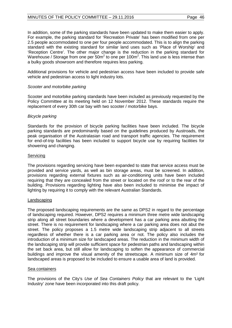# MINUTES OF THE POLICY COMMITTEE - 29.11.2016 Page 46

In addition, some of the parking standards have been updated to make them easier to apply. For example, the parking standard for 'Recreation Private' has been modified from one per 2.5 people accommodated to one per four people accommodated. This is to align the parking standard with the existing standard for similar land uses such as 'Place of Worship' and 'Reception Centre'. The other major change is the reduction in the parking standard for Warehouse / Storage from one per 50m<sup>2</sup> to one per 100m<sup>2</sup>. This land use is less intense than a bulky goods showroom and therefore requires less parking.

Additional provisions for vehicle and pedestrian access have been included to provide safe vehicle and pedestrian access to light industry lots.

# *Scooter and motorbike parking*

Scooter and motorbike parking standards have been included as previously requested by the Policy Committee at its meeting held on 12 November 2012. These standards require the replacement of every 30th car bay with two scooter / motorbike bays.

#### *Bicycle parking*

Standards for the provision of bicycle parking facilities have been included. The bicycle parking standards are predominantly based on the guidelines produced by Austroads, the peak organisation of the Australasian road and transport traffic agencies. The requirement for end-of-trip facilities has been included to support bicycle use by requiring facilities for showering and changing.

#### Servicing

The provisions regarding servicing have been expanded to state that service access must be provided and service yards, as well as bin storage areas, must be screened. In addition, provisions regarding external fixtures such as air-conditioning units have been included requiring that they are concealed from the street or located on the roof or to the rear of the building. Provisions regarding lighting have also been included to minimise the impact of lighting by requiring it to comply with the relevant Australian Standards.

#### Landscaping

The proposed landscaping requirements are the same as DPS2 in regard to the percentage of landscaping required. However, DPS2 requires a minimum three metre wide landscaping strip along all street boundaries where a development has a car parking area abutting the street. There is no requirement for landscaping where a car parking area does not abut the street. The policy proposes a 1.5 metre wide landscaping strip adjacent to all streets regardless of whether there is a car parking area or not. The policy also includes the introduction of a minimum size for landscaped areas. The reduction in the minimum width of the landscaping strip will provide sufficient space for pedestrian paths and landscaping within the set back area, but still allow for landscaping to soften the appearance of commercial buildings and improve the visual amenity of the streetscape. A minimum size of 4m² for landscaped areas is proposed to be included to ensure a usable area of land is provided.

# Sea containers

The provisions of the City's *Use of Sea Containers Policy* that are relevant to the 'Light Industry' zone have been incorporated into this draft policy.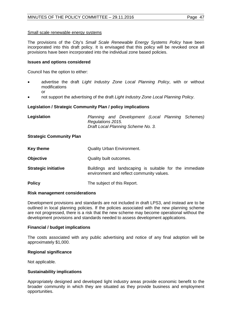#### Small scale renewable energy systems

The provisions of the City's *Small Scale Renewable Energy Systems Policy* have been incorporated into this draft policy. It is envisaged that this policy will be revoked once all provisions have been incorporated into the individual zone based policies.

#### **Issues and options considered**

Council has the option to either:

- advertise the draft *Light Industry Zone Local Planning Policy*, with or without modifications or
- not support the advertising of the draft *Light Industry Zone Local Planning Policy*.

# **Legislation / Strategic Community Plan / policy implications**

| Legislation | Planning and Development (Local Planning Schemes) |  |
|-------------|---------------------------------------------------|--|
|             | Regulations 2015.                                 |  |
|             | Draft Local Planning Scheme No. 3.                |  |
|             |                                                   |  |

# **Strategic Community Plan**

| Key theme                   | Quality Urban Environment.                                                                           |
|-----------------------------|------------------------------------------------------------------------------------------------------|
| <b>Objective</b>            | Quality built outcomes.                                                                              |
| <b>Strategic initiative</b> | Buildings and landscaping is suitable for the immediate<br>environment and reflect community values. |
| <b>Policy</b>               | The subject of this Report.                                                                          |

#### **Risk management considerations**

Development provisions and standards are not included in draft LPS3, and instead are to be outlined in local planning policies. If the policies associated with the new planning scheme are not progressed, there is a risk that the new scheme may become operational without the development provisions and standards needed to assess development applications.

#### **Financial / budget implications**

The costs associated with any public advertising and notice of any final adoption will be approximately \$1,000.

# **Regional significance**

Not applicable.

# **Sustainability implications**

Appropriately designed and developed light industry areas provide economic benefit to the broader community in which they are situated as they provide business and employment opportunities.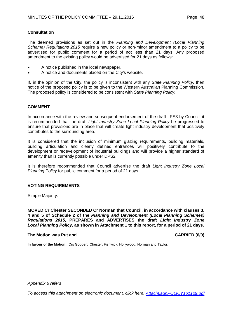# **Consultation**

The deemed provisions as set out in the *Planning and Development (Local Planning Scheme) Regulations 2015* require a new policy or non-minor amendment to a policy to be advertised for public comment for a period of not less than 21 days. Any proposed amendment to the existing policy would be advertised for 21 days as follows:

- A notice published in the local newspaper.
- A notice and documents placed on the City's website.

If, in the opinion of the City, the policy is inconsistent with any *State Planning Policy*, then notice of the proposed policy is to be given to the Western Australian Planning Commission. The proposed policy is considered to be consistent with *State Planning Policy.*

# **COMMENT**

In accordance with the review and subsequent endorsement of the draft LPS3 by Council, it is recommended that the draft *Light Industry Zone Local Planning Policy* be progressed to ensure that provisions are in place that will create light industry development that positively contributes to the surrounding area.

It is considered that the inclusion of minimum glazing requirements, building materials, building articulation and clearly defined entrances will positively contribute to the development or redevelopment of industrial buildings and will provide a higher standard of amenity than is currently possible under DPS2.

It is therefore recommended that Council advertise the draft *Light Industry Zone Local Planning Policy* for public comment for a period of 21 days.

# **VOTING REQUIREMENTS**

Simple Majority.

**MOVED Cr Chester SECONDED Cr Norman that Council, in accordance with clauses 3, 4 and 5 of Schedule 2 of the** *Planning and Development (Local Planning Schemes) Regulations 2015,* **PREPARES and ADVERTISES the draft** *Light Industry Zone Local Planning Policy***, as shown in Attachment 1 to this report, for a period of 21 days.**

# **The Motion was Put and CARRIED (6/0)**

**In favour of the Motion:** Crs Gobbert, Chester, Fishwick, Hollywood, Norman and Taylor.

*Appendix 6 refers*

*[To access this attachment on electronic document, click here: Attach6agnPOLICY161129.pdf](http://www.joondalup.wa.gov.au/files/committees/POLI/2016/Attach6agnPOLICY161129.pdf)*